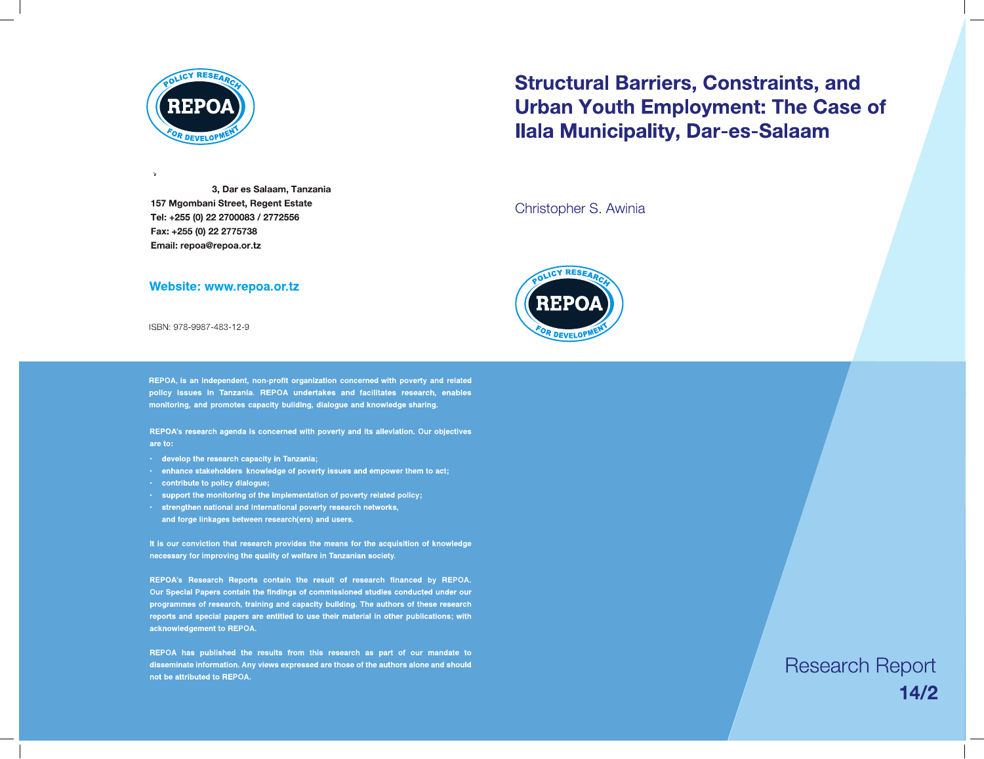

3, Dar es Salaam, Tanzania 157 Mgombani Street, Regent Estate Tel: +255 (0) 22 2700083 / 2772556 Fax: +255 (0) 22 2775738 Email: repoa@repoa.or.tz



 $\overline{\phantom{a}}$ 

 $\overline{\phantom{0}}$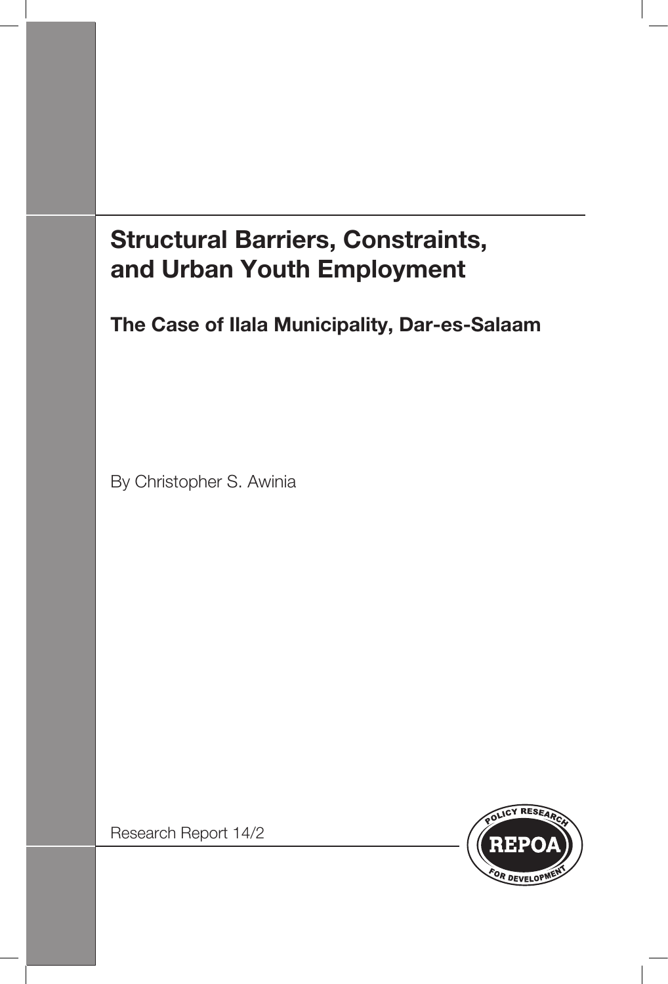# **Structural Barriers, Constraints, and Urban Youth Employment**

**The Case of Ilala Municipality, Dar-es-Salaam**

By Christopher S. Awinia

Research Report 14/2

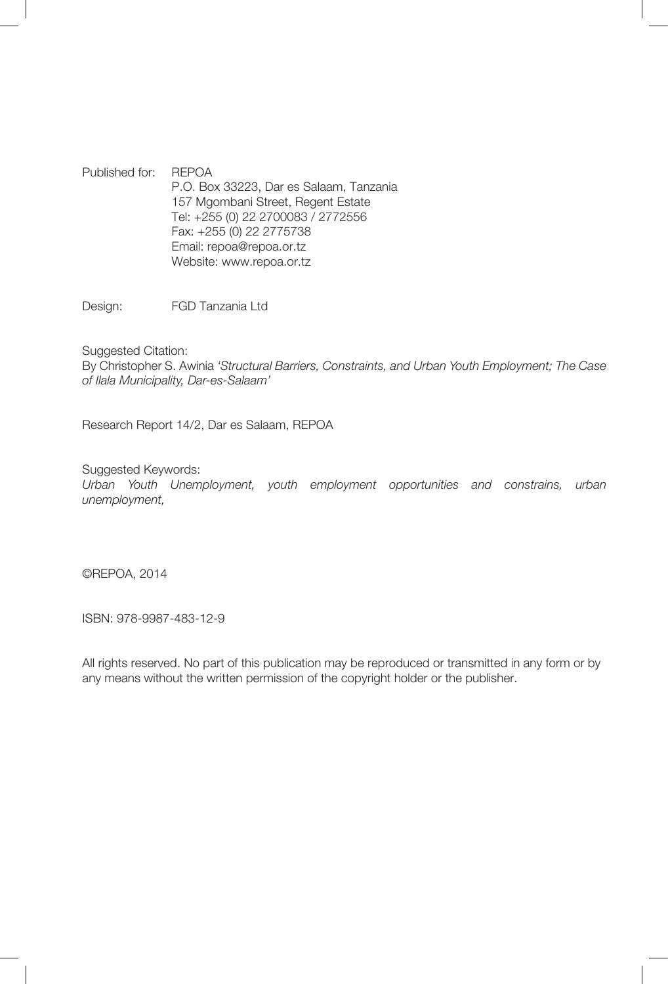Published for: REPOA P.O. Box 33223, Dar es Salaam, Tanzania 157 Mgombani Street, Regent Estate Tel: +255 (0) 22 2700083 / 2772556 Fax: +255 (0) 22 2775738 Email: repoa@repoa.or.tz Website: www.repoa.or.tz

Design: FGD Tanzania Ltd

Suggested Citation:

By Christopher S. Awinia *'Structural Barriers, Constraints, and Urban Youth Employment; The Case of Ilala Municipality, Dar-es-Salaam'*

Research Report 14/2, Dar es Salaam, REPOA

Suggested Keywords:

*Urban Youth Unemployment, youth employment opportunities and constrains, urban unemployment,*

©REPOA, 2014

ISBN: 978-9987-483-12-9

All rights reserved. No part of this publication may be reproduced or transmitted in any form or by any means without the written permission of the copyright holder or the publisher.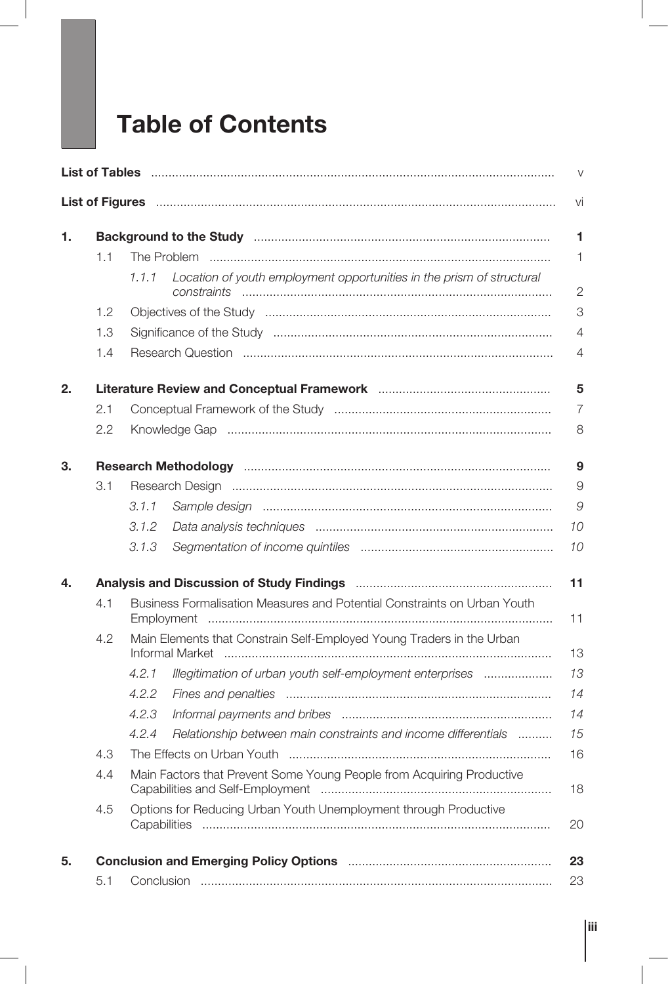# **Table of Contents**

| Background to the Study manufacture contain and the Study manufacture contained to the Study manufacture contains and the Study manufacture contains and the Study manufacture contains and the Study manufacture contains and<br>1.1<br>Location of youth employment opportunities in the prism of structural<br>1.1.1<br>1.2<br>1.3<br>1.4<br>2.<br>2.1<br>2.2<br>Research Methodology manufactured and the Research Methodology manufactured and the Research Methodology<br>3.1<br>3.1.1<br>3.1.2<br>3.1.3<br>4.<br>Business Formalisation Measures and Potential Constraints on Urban Youth<br>4.1<br>Main Elements that Constrain Self-Employed Young Traders in the Urban<br>4.2<br>Informal Market<br>Illegitimation of urban youth self-employment enterprises<br>4.2.1<br>4.2.2<br>4.2.3<br>Relationship between main constraints and income differentials<br>4.2.4<br>4.3<br>4.4<br>Main Factors that Prevent Some Young People from Acquiring Productive<br>Options for Reducing Urban Youth Unemployment through Productive<br>4.5 |     |  |  |  |  |  |  |
|-------------------------------------------------------------------------------------------------------------------------------------------------------------------------------------------------------------------------------------------------------------------------------------------------------------------------------------------------------------------------------------------------------------------------------------------------------------------------------------------------------------------------------------------------------------------------------------------------------------------------------------------------------------------------------------------------------------------------------------------------------------------------------------------------------------------------------------------------------------------------------------------------------------------------------------------------------------------------------------------------------------------------------------------------|-----|--|--|--|--|--|--|
|                                                                                                                                                                                                                                                                                                                                                                                                                                                                                                                                                                                                                                                                                                                                                                                                                                                                                                                                                                                                                                                 | 1.  |  |  |  |  |  |  |
|                                                                                                                                                                                                                                                                                                                                                                                                                                                                                                                                                                                                                                                                                                                                                                                                                                                                                                                                                                                                                                                 |     |  |  |  |  |  |  |
|                                                                                                                                                                                                                                                                                                                                                                                                                                                                                                                                                                                                                                                                                                                                                                                                                                                                                                                                                                                                                                                 |     |  |  |  |  |  |  |
|                                                                                                                                                                                                                                                                                                                                                                                                                                                                                                                                                                                                                                                                                                                                                                                                                                                                                                                                                                                                                                                 |     |  |  |  |  |  |  |
|                                                                                                                                                                                                                                                                                                                                                                                                                                                                                                                                                                                                                                                                                                                                                                                                                                                                                                                                                                                                                                                 |     |  |  |  |  |  |  |
|                                                                                                                                                                                                                                                                                                                                                                                                                                                                                                                                                                                                                                                                                                                                                                                                                                                                                                                                                                                                                                                 |     |  |  |  |  |  |  |
|                                                                                                                                                                                                                                                                                                                                                                                                                                                                                                                                                                                                                                                                                                                                                                                                                                                                                                                                                                                                                                                 |     |  |  |  |  |  |  |
|                                                                                                                                                                                                                                                                                                                                                                                                                                                                                                                                                                                                                                                                                                                                                                                                                                                                                                                                                                                                                                                 |     |  |  |  |  |  |  |
|                                                                                                                                                                                                                                                                                                                                                                                                                                                                                                                                                                                                                                                                                                                                                                                                                                                                                                                                                                                                                                                 |     |  |  |  |  |  |  |
|                                                                                                                                                                                                                                                                                                                                                                                                                                                                                                                                                                                                                                                                                                                                                                                                                                                                                                                                                                                                                                                 | 3.  |  |  |  |  |  |  |
|                                                                                                                                                                                                                                                                                                                                                                                                                                                                                                                                                                                                                                                                                                                                                                                                                                                                                                                                                                                                                                                 |     |  |  |  |  |  |  |
|                                                                                                                                                                                                                                                                                                                                                                                                                                                                                                                                                                                                                                                                                                                                                                                                                                                                                                                                                                                                                                                 |     |  |  |  |  |  |  |
|                                                                                                                                                                                                                                                                                                                                                                                                                                                                                                                                                                                                                                                                                                                                                                                                                                                                                                                                                                                                                                                 |     |  |  |  |  |  |  |
|                                                                                                                                                                                                                                                                                                                                                                                                                                                                                                                                                                                                                                                                                                                                                                                                                                                                                                                                                                                                                                                 |     |  |  |  |  |  |  |
|                                                                                                                                                                                                                                                                                                                                                                                                                                                                                                                                                                                                                                                                                                                                                                                                                                                                                                                                                                                                                                                 |     |  |  |  |  |  |  |
|                                                                                                                                                                                                                                                                                                                                                                                                                                                                                                                                                                                                                                                                                                                                                                                                                                                                                                                                                                                                                                                 |     |  |  |  |  |  |  |
|                                                                                                                                                                                                                                                                                                                                                                                                                                                                                                                                                                                                                                                                                                                                                                                                                                                                                                                                                                                                                                                 |     |  |  |  |  |  |  |
|                                                                                                                                                                                                                                                                                                                                                                                                                                                                                                                                                                                                                                                                                                                                                                                                                                                                                                                                                                                                                                                 |     |  |  |  |  |  |  |
|                                                                                                                                                                                                                                                                                                                                                                                                                                                                                                                                                                                                                                                                                                                                                                                                                                                                                                                                                                                                                                                 |     |  |  |  |  |  |  |
|                                                                                                                                                                                                                                                                                                                                                                                                                                                                                                                                                                                                                                                                                                                                                                                                                                                                                                                                                                                                                                                 |     |  |  |  |  |  |  |
|                                                                                                                                                                                                                                                                                                                                                                                                                                                                                                                                                                                                                                                                                                                                                                                                                                                                                                                                                                                                                                                 |     |  |  |  |  |  |  |
|                                                                                                                                                                                                                                                                                                                                                                                                                                                                                                                                                                                                                                                                                                                                                                                                                                                                                                                                                                                                                                                 |     |  |  |  |  |  |  |
|                                                                                                                                                                                                                                                                                                                                                                                                                                                                                                                                                                                                                                                                                                                                                                                                                                                                                                                                                                                                                                                 |     |  |  |  |  |  |  |
|                                                                                                                                                                                                                                                                                                                                                                                                                                                                                                                                                                                                                                                                                                                                                                                                                                                                                                                                                                                                                                                 |     |  |  |  |  |  |  |
|                                                                                                                                                                                                                                                                                                                                                                                                                                                                                                                                                                                                                                                                                                                                                                                                                                                                                                                                                                                                                                                 | 5.  |  |  |  |  |  |  |
|                                                                                                                                                                                                                                                                                                                                                                                                                                                                                                                                                                                                                                                                                                                                                                                                                                                                                                                                                                                                                                                 | 5.1 |  |  |  |  |  |  |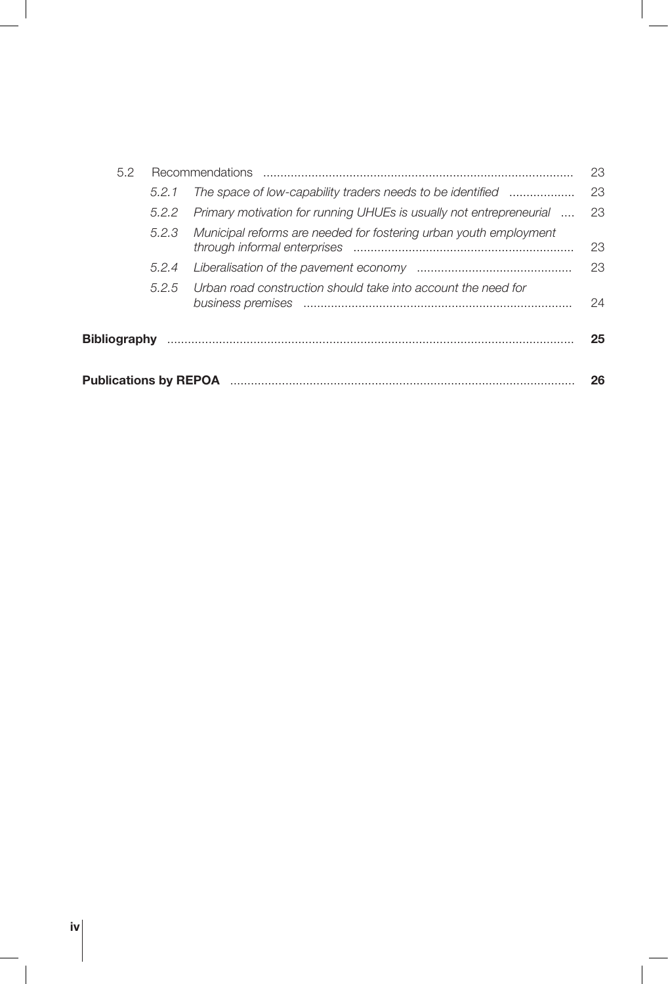| 5.2          |       |                                                                     | 23  |  |
|--------------|-------|---------------------------------------------------------------------|-----|--|
|              | 5.2.1 | The space of low-capability traders needs to be identified          | -23 |  |
|              | 5.2.2 | Primary motivation for running UHUEs is usually not entrepreneurial | 23  |  |
|              | 5.2.3 | Municipal reforms are needed for fostering urban youth employment   | 23  |  |
|              | 5.2.4 |                                                                     | 23  |  |
|              | 5.2.5 | Urban road construction should take into account the need for       | 24  |  |
| Bibliography |       |                                                                     | 25  |  |
|              | 26    |                                                                     |     |  |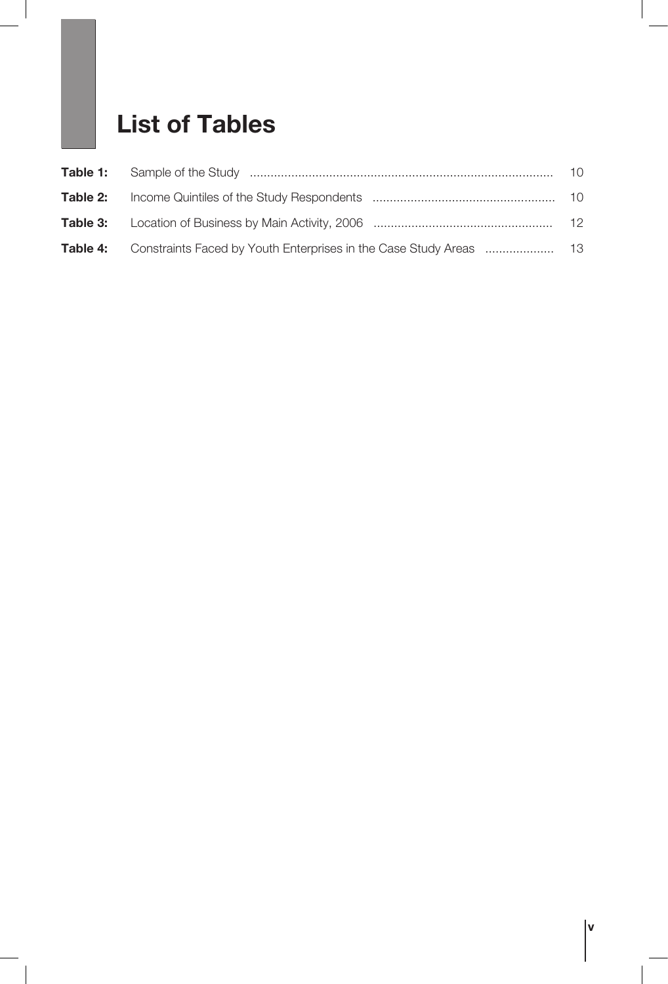# **List of Tables**

|  | $-10$ |
|--|-------|
|  |       |
|  |       |
|  |       |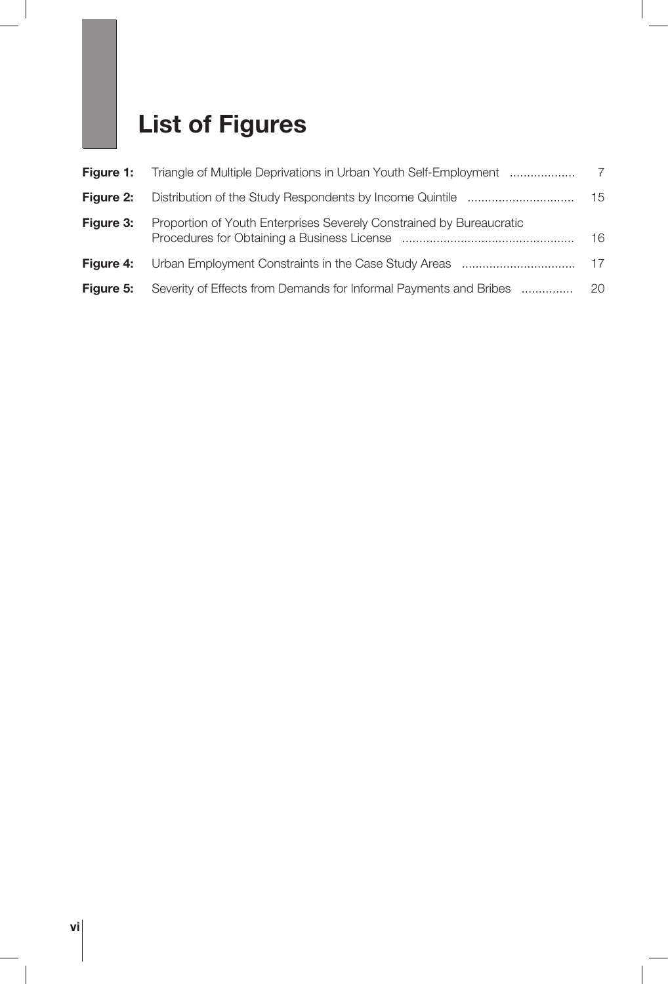# **List of Figures**

| <b>Figure 1:</b> | Triangle of Multiple Deprivations in Urban Youth Self-Employment     | -7  |
|------------------|----------------------------------------------------------------------|-----|
| Figure 2:        |                                                                      | 15  |
| <b>Figure 3:</b> | Proportion of Youth Enterprises Severely Constrained by Bureaucratic | 16  |
| <b>Figure 4:</b> |                                                                      | -17 |
| Figure 5:        | Severity of Effects from Demands for Informal Payments and Bribes    | 20  |

 $\overline{\phantom{a}}$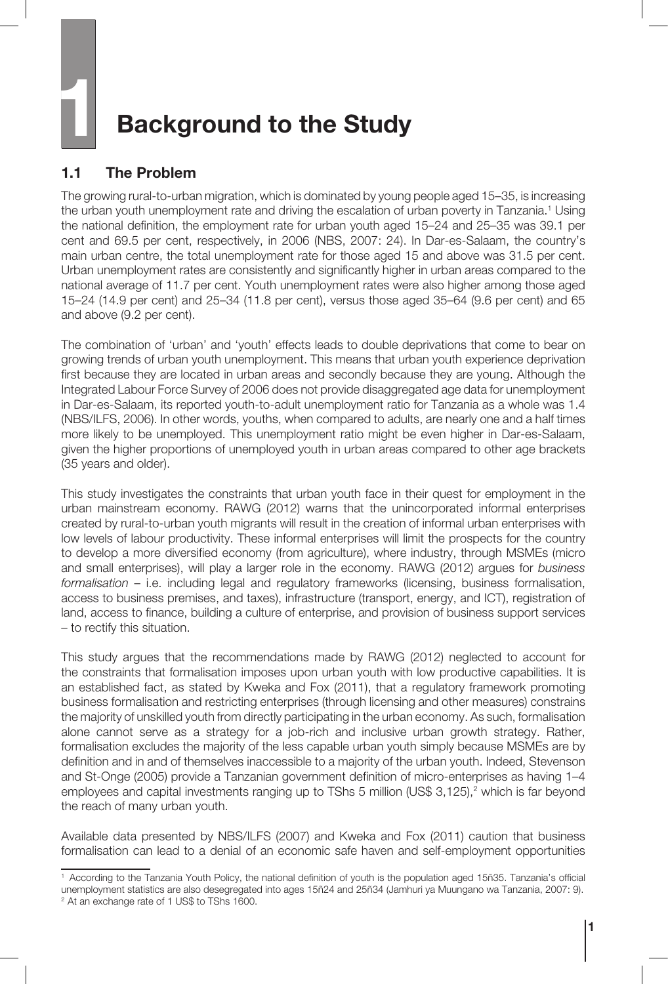# **1 Background to the Study**

#### **1.1 The Problem**

The growing rural-to-urban migration, which is dominated by young people aged 15–35, is increasing the urban youth unemployment rate and driving the escalation of urban poverty in Tanzania.<sup>1</sup> Using the national definition, the employment rate for urban youth aged 15–24 and 25–35 was 39.1 per cent and 69.5 per cent, respectively, in 2006 (NBS, 2007: 24). In Dar-es-Salaam, the country's main urban centre, the total unemployment rate for those aged 15 and above was 31.5 per cent. Urban unemployment rates are consistently and significantly higher in urban areas compared to the national average of 11.7 per cent. Youth unemployment rates were also higher among those aged 15–24 (14.9 per cent) and 25–34 (11.8 per cent), versus those aged 35–64 (9.6 per cent) and 65 and above (9.2 per cent).

The combination of 'urban' and 'youth' effects leads to double deprivations that come to bear on growing trends of urban youth unemployment. This means that urban youth experience deprivation first because they are located in urban areas and secondly because they are young. Although the Integrated Labour Force Survey of 2006 does not provide disaggregated age data for unemployment in Dar-es-Salaam, its reported youth-to-adult unemployment ratio for Tanzania as a whole was 1.4 (NBS/ILFS, 2006). In other words, youths, when compared to adults, are nearly one and a half times more likely to be unemployed. This unemployment ratio might be even higher in Dar-es-Salaam, given the higher proportions of unemployed youth in urban areas compared to other age brackets (35 years and older).

This study investigates the constraints that urban youth face in their quest for employment in the urban mainstream economy. RAWG (2012) warns that the unincorporated informal enterprises created by rural-to-urban youth migrants will result in the creation of informal urban enterprises with low levels of labour productivity. These informal enterprises will limit the prospects for the country to develop a more diversified economy (from agriculture), where industry, through MSMEs (micro and small enterprises), will play a larger role in the economy. RAWG (2012) argues for *business formalisation* – i.e. including legal and regulatory frameworks (licensing, business formalisation, access to business premises, and taxes), infrastructure (transport, energy, and ICT), registration of land, access to finance, building a culture of enterprise, and provision of business support services – to rectify this situation.

This study argues that the recommendations made by RAWG (2012) neglected to account for the constraints that formalisation imposes upon urban youth with low productive capabilities. It is an established fact, as stated by Kweka and Fox (2011), that a regulatory framework promoting business formalisation and restricting enterprises (through licensing and other measures) constrains the majority of unskilled youth from directly participating in the urban economy. As such, formalisation alone cannot serve as a strategy for a job-rich and inclusive urban growth strategy. Rather, formalisation excludes the majority of the less capable urban youth simply because MSMEs are by definition and in and of themselves inaccessible to a majority of the urban youth. Indeed, Stevenson and St-Onge (2005) provide a Tanzanian government definition of micro-enterprises as having 1–4 employees and capital investments ranging up to TShs 5 million (US\$ 3,125),<sup>2</sup> which is far beyond the reach of many urban youth.

Available data presented by NBS/ILFS (2007) and Kweka and Fox (2011) caution that business formalisation can lead to a denial of an economic safe haven and self-employment opportunities

<sup>1</sup> According to the Tanzania Youth Policy, the national definition of youth is the population aged 15ñ35. Tanzania's official unemployment statistics are also desegregated into ages 15ñ24 and 25ñ34 (Jamhuri ya Muungano wa Tanzania, 2007: 9). <sup>2</sup> At an exchange rate of 1 US\$ to TShs 1600.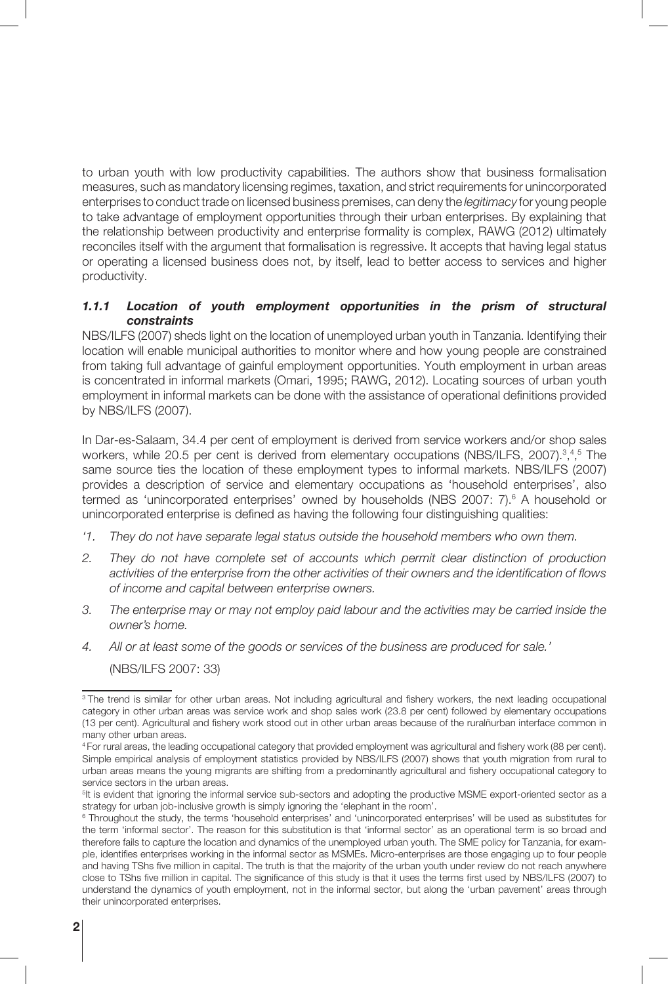to urban youth with low productivity capabilities. The authors show that business formalisation measures, such as mandatory licensing regimes, taxation, and strict requirements for unincorporated enterprises to conduct trade on licensed business premises, can deny the *legitimacy* for young people to take advantage of employment opportunities through their urban enterprises. By explaining that the relationship between productivity and enterprise formality is complex, RAWG (2012) ultimately reconciles itself with the argument that formalisation is regressive. It accepts that having legal status or operating a licensed business does not, by itself, lead to better access to services and higher productivity.

#### *1.1.1 Location of youth employment opportunities in the prism of structural constraints*

NBS/ILFS (2007) sheds light on the location of unemployed urban youth in Tanzania. Identifying their location will enable municipal authorities to monitor where and how young people are constrained from taking full advantage of gainful employment opportunities. Youth employment in urban areas is concentrated in informal markets (Omari, 1995; RAWG, 2012). Locating sources of urban youth employment in informal markets can be done with the assistance of operational definitions provided by NBS/ILFS (2007).

In Dar-es-Salaam, 34.4 per cent of employment is derived from service workers and/or shop sales workers, while 20.5 per cent is derived from elementary occupations (NBS/ILFS, 2007).<sup>3,4,5</sup> The same source ties the location of these employment types to informal markets. NBS/ILFS (2007) provides a description of service and elementary occupations as 'household enterprises', also termed as 'unincorporated enterprises' owned by households (NBS 2007: 7).<sup>6</sup> A household or unincorporated enterprise is defined as having the following four distinguishing qualities:

- *'1. They do not have separate legal status outside the household members who own them.*
- *2. They do not have complete set of accounts which permit clear distinction of production activities of the enterprise from the other activities of their owners and the identification of flows of income and capital between enterprise owners.*
- *3. The enterprise may or may not employ paid labour and the activities may be carried inside the owner's home.*
- *4. All or at least some of the goods or services of the business are produced for sale.'*

(NBS/ILFS 2007: 33)

<sup>&</sup>lt;sup>3</sup> The trend is similar for other urban areas. Not including agricultural and fishery workers, the next leading occupational category in other urban areas was service work and shop sales work (23.8 per cent) followed by elementary occupations (13 per cent). Agricultural and fishery work stood out in other urban areas because of the ruralñurban interface common in many other urban areas.

<sup>4</sup> For rural areas, the leading occupational category that provided employment was agricultural and fishery work (88 per cent). Simple empirical analysis of employment statistics provided by NBS/ILFS (2007) shows that youth migration from rural to urban areas means the young migrants are shifting from a predominantly agricultural and fishery occupational category to service sectors in the urban areas.

<sup>&</sup>lt;sup>5</sup>It is evident that ignoring the informal service sub-sectors and adopting the productive MSME export-oriented sector as a strategy for urban job-inclusive growth is simply ignoring the 'elephant in the room'.

<sup>6</sup> Throughout the study, the terms 'household enterprises' and 'unincorporated enterprises' will be used as substitutes for the term 'informal sector'. The reason for this substitution is that 'informal sector' as an operational term is so broad and therefore fails to capture the location and dynamics of the unemployed urban youth. The SME policy for Tanzania, for example, identifies enterprises working in the informal sector as MSMEs. Micro-enterprises are those engaging up to four people and having TShs five million in capital. The truth is that the majority of the urban youth under review do not reach anywhere close to TShs five million in capital. The significance of this study is that it uses the terms first used by NBS/ILFS (2007) to understand the dynamics of youth employment, not in the informal sector, but along the 'urban pavement' areas through their unincorporated enterprises.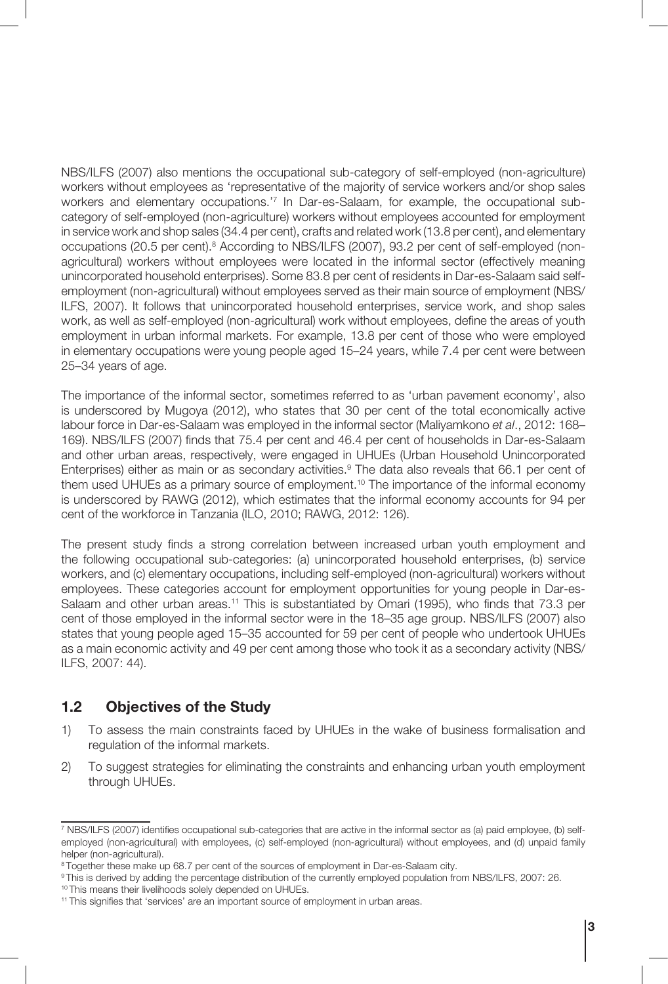NBS/ILFS (2007) also mentions the occupational sub-category of self-employed (non-agriculture) workers without employees as 'representative of the majority of service workers and/or shop sales workers and elementary occupations.'7 In Dar-es-Salaam, for example, the occupational subcategory of self-employed (non-agriculture) workers without employees accounted for employment in service work and shop sales (34.4 per cent), crafts and related work (13.8 per cent), and elementary occupations (20.5 per cent).<sup>8</sup> According to NBS/ILFS (2007), 93.2 per cent of self-employed (nonagricultural) workers without employees were located in the informal sector (effectively meaning unincorporated household enterprises). Some 83.8 per cent of residents in Dar-es-Salaam said selfemployment (non-agricultural) without employees served as their main source of employment (NBS/ ILFS, 2007). It follows that unincorporated household enterprises, service work, and shop sales work, as well as self-employed (non-agricultural) work without employees, define the areas of youth employment in urban informal markets. For example, 13.8 per cent of those who were employed in elementary occupations were young people aged 15–24 years, while 7.4 per cent were between 25–34 years of age.

The importance of the informal sector, sometimes referred to as 'urban pavement economy', also is underscored by Mugoya (2012), who states that 30 per cent of the total economically active labour force in Dar-es-Salaam was employed in the informal sector (Maliyamkono *et al*., 2012: 168– 169). NBS/ILFS (2007) finds that 75.4 per cent and 46.4 per cent of households in Dar-es-Salaam and other urban areas, respectively, were engaged in UHUEs (Urban Household Unincorporated Enterprises) either as main or as secondary activities.<sup>9</sup> The data also reveals that 66.1 per cent of them used UHUEs as a primary source of employment.<sup>10</sup> The importance of the informal economy is underscored by RAWG (2012), which estimates that the informal economy accounts for 94 per cent of the workforce in Tanzania (ILO, 2010; RAWG, 2012: 126).

The present study finds a strong correlation between increased urban youth employment and the following occupational sub-categories: (a) unincorporated household enterprises, (b) service workers, and (c) elementary occupations, including self-employed (non-agricultural) workers without employees. These categories account for employment opportunities for young people in Dar-es-Salaam and other urban areas.<sup>11</sup> This is substantiated by Omari (1995), who finds that 73.3 per cent of those employed in the informal sector were in the 18–35 age group. NBS/ILFS (2007) also states that young people aged 15–35 accounted for 59 per cent of people who undertook UHUEs as a main economic activity and 49 per cent among those who took it as a secondary activity (NBS/ ILFS, 2007: 44).

#### **1.2 Objectives of the Study**

- 1) To assess the main constraints faced by UHUEs in the wake of business formalisation and regulation of the informal markets.
- 2) To suggest strategies for eliminating the constraints and enhancing urban youth employment through UHUEs.

<sup>7</sup> NBS/ILFS (2007) identifies occupational sub-categories that are active in the informal sector as (a) paid employee, (b) selfemployed (non-agricultural) with employees, (c) self-employed (non-agricultural) without employees, and (d) unpaid family helper (non-agricultural).

<sup>&</sup>lt;sup>8</sup> Together these make up 68.7 per cent of the sources of employment in Dar-es-Salaam city.

<sup>9</sup> This is derived by adding the percentage distribution of the currently employed population from NBS/ILFS, 2007: 26.

<sup>10</sup> This means their livelihoods solely depended on UHUEs.

<sup>&</sup>lt;sup>11</sup> This signifies that 'services' are an important source of employment in urban areas.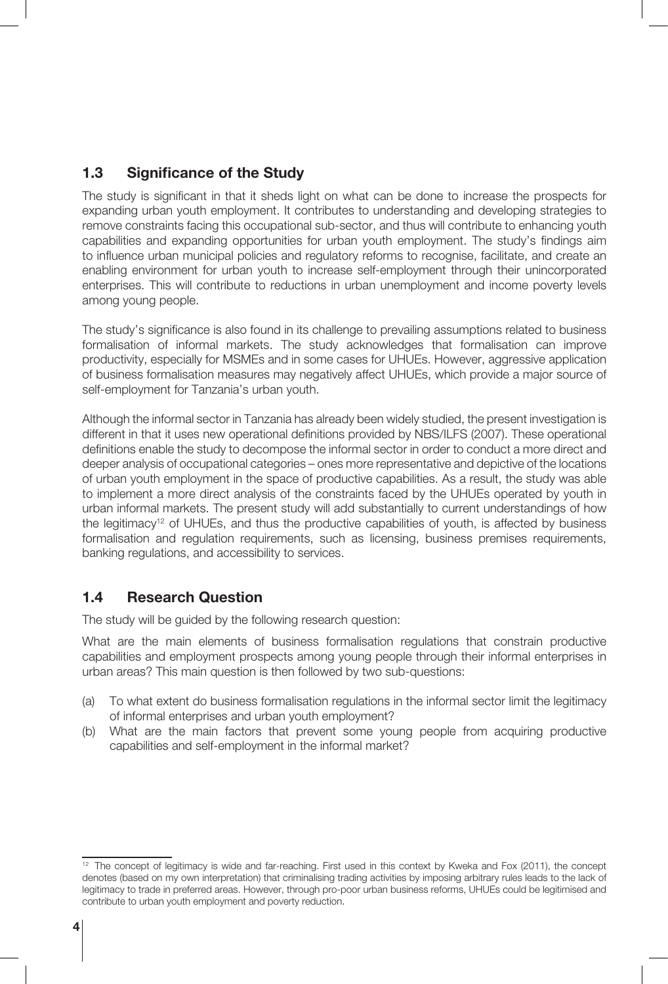#### **1.3 Significance of the Study**

The study is significant in that it sheds light on what can be done to increase the prospects for expanding urban youth employment. It contributes to understanding and developing strategies to remove constraints facing this occupational sub-sector, and thus will contribute to enhancing youth capabilities and expanding opportunities for urban youth employment. The study's findings aim to influence urban municipal policies and regulatory reforms to recognise, facilitate, and create an enabling environment for urban youth to increase self-employment through their unincorporated enterprises. This will contribute to reductions in urban unemployment and income poverty levels among young people.

The study's significance is also found in its challenge to prevailing assumptions related to business formalisation of informal markets. The study acknowledges that formalisation can improve productivity, especially for MSMEs and in some cases for UHUEs. However, aggressive application of business formalisation measures may negatively affect UHUEs, which provide a major source of self-employment for Tanzania's urban youth.

Although the informal sector in Tanzania has already been widely studied, the present investigation is different in that it uses new operational definitions provided by NBS/ILFS (2007). These operational definitions enable the study to decompose the informal sector in order to conduct a more direct and deeper analysis of occupational categories – ones more representative and depictive of the locations of urban youth employment in the space of productive capabilities. As a result, the study was able to implement a more direct analysis of the constraints faced by the UHUEs operated by youth in urban informal markets. The present study will add substantially to current understandings of how the legitimacy12 of UHUEs, and thus the productive capabilities of youth, is affected by business formalisation and regulation requirements, such as licensing, business premises requirements, banking regulations, and accessibility to services.

#### **1.4 Research Question**

The study will be guided by the following research question:

What are the main elements of business formalisation regulations that constrain productive capabilities and employment prospects among young people through their informal enterprises in urban areas? This main question is then followed by two sub-questions:

- (a) To what extent do business formalisation regulations in the informal sector limit the legitimacy of informal enterprises and urban youth employment?
- (b) What are the main factors that prevent some young people from acquiring productive capabilities and self-employment in the informal market?

<sup>&</sup>lt;sup>12</sup> The concept of legitimacy is wide and far-reaching. First used in this context by Kweka and Fox (2011), the concept denotes (based on my own interpretation) that criminalising trading activities by imposing arbitrary rules leads to the lack of legitimacy to trade in preferred areas. However, through pro-poor urban business reforms, UHUEs could be legitimised and contribute to urban youth employment and poverty reduction.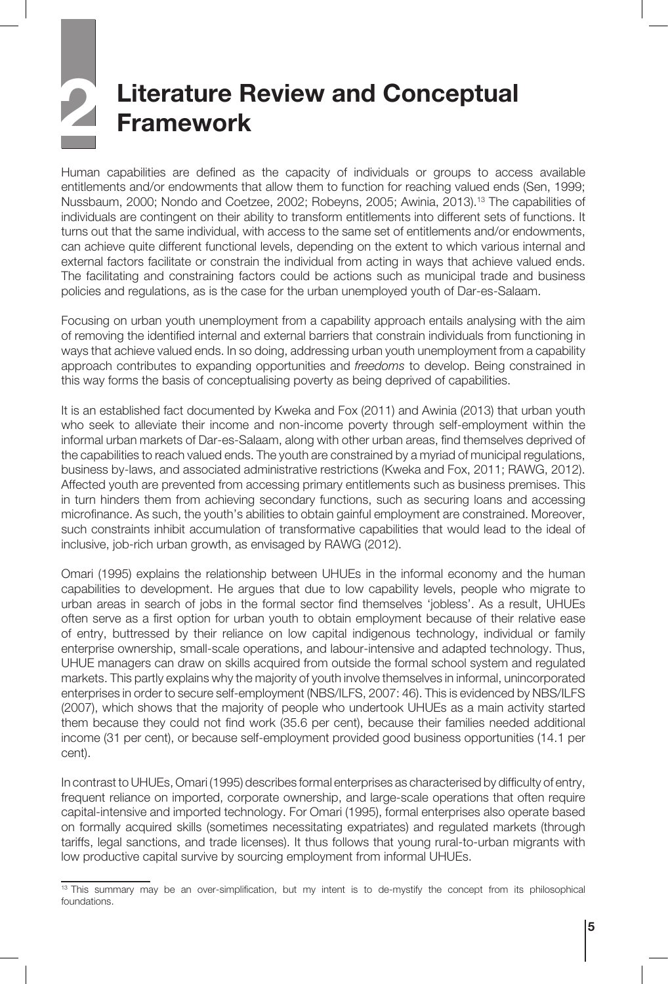# **2 Literature Review and Conceptual Framework**

Human capabilities are defined as the capacity of individuals or groups to access available entitlements and/or endowments that allow them to function for reaching valued ends (Sen, 1999; Nussbaum, 2000; Nondo and Coetzee, 2002; Robeyns, 2005; Awinia, 2013).13 The capabilities of individuals are contingent on their ability to transform entitlements into different sets of functions. It turns out that the same individual, with access to the same set of entitlements and/or endowments, can achieve quite different functional levels, depending on the extent to which various internal and external factors facilitate or constrain the individual from acting in ways that achieve valued ends. The facilitating and constraining factors could be actions such as municipal trade and business policies and regulations, as is the case for the urban unemployed youth of Dar-es-Salaam.

Focusing on urban youth unemployment from a capability approach entails analysing with the aim of removing the identified internal and external barriers that constrain individuals from functioning in ways that achieve valued ends. In so doing, addressing urban youth unemployment from a capability approach contributes to expanding opportunities and *freedoms* to develop. Being constrained in this way forms the basis of conceptualising poverty as being deprived of capabilities.

It is an established fact documented by Kweka and Fox (2011) and Awinia (2013) that urban youth who seek to alleviate their income and non-income poverty through self-employment within the informal urban markets of Dar-es-Salaam, along with other urban areas, find themselves deprived of the capabilities to reach valued ends. The youth are constrained by a myriad of municipal regulations, business by-laws, and associated administrative restrictions (Kweka and Fox, 2011; RAWG, 2012). Affected youth are prevented from accessing primary entitlements such as business premises. This in turn hinders them from achieving secondary functions, such as securing loans and accessing microfinance. As such, the youth's abilities to obtain gainful employment are constrained. Moreover, such constraints inhibit accumulation of transformative capabilities that would lead to the ideal of inclusive, job-rich urban growth, as envisaged by RAWG (2012).

Omari (1995) explains the relationship between UHUEs in the informal economy and the human capabilities to development. He argues that due to low capability levels, people who migrate to urban areas in search of jobs in the formal sector find themselves 'jobless'. As a result, UHUEs often serve as a first option for urban youth to obtain employment because of their relative ease of entry, buttressed by their reliance on low capital indigenous technology, individual or family enterprise ownership, small-scale operations, and labour-intensive and adapted technology. Thus, UHUE managers can draw on skills acquired from outside the formal school system and regulated markets. This partly explains why the majority of youth involve themselves in informal, unincorporated enterprises in order to secure self-employment (NBS/ILFS, 2007: 46). This is evidenced by NBS/ILFS (2007), which shows that the majority of people who undertook UHUEs as a main activity started them because they could not find work (35.6 per cent), because their families needed additional income (31 per cent), or because self-employment provided good business opportunities (14.1 per cent).

In contrast to UHUEs, Omari (1995) describes formal enterprises as characterised by difficulty of entry, frequent reliance on imported, corporate ownership, and large-scale operations that often require capital-intensive and imported technology. For Omari (1995), formal enterprises also operate based on formally acquired skills (sometimes necessitating expatriates) and regulated markets (through tariffs, legal sanctions, and trade licenses). It thus follows that young rural-to-urban migrants with low productive capital survive by sourcing employment from informal UHUEs.

<sup>&</sup>lt;sup>13</sup> This summary may be an over-simplification, but my intent is to de-mystify the concept from its philosophical foundations.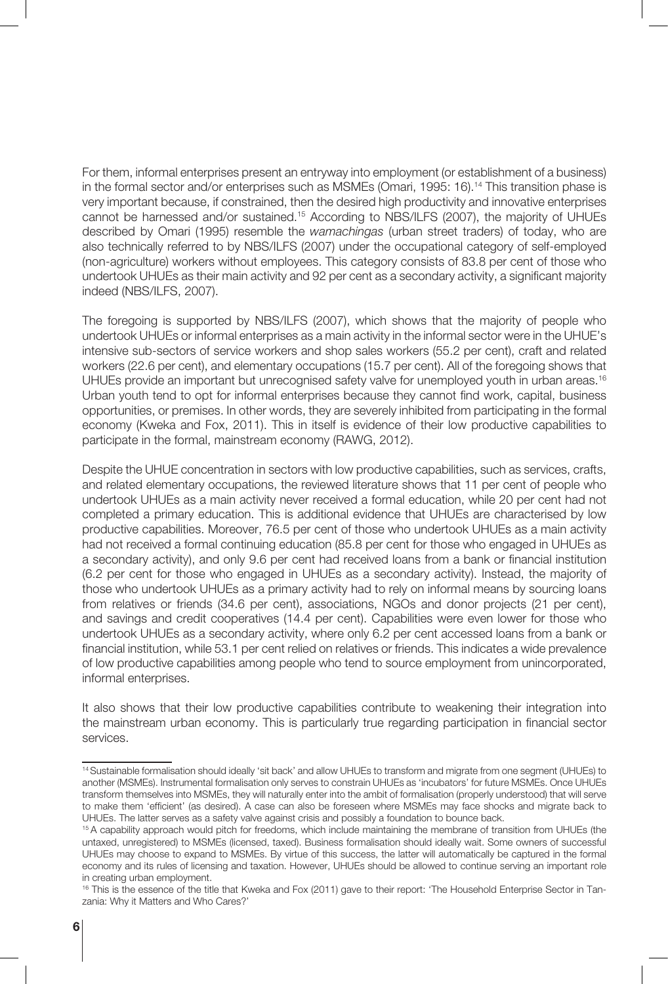For them, informal enterprises present an entryway into employment (or establishment of a business) in the formal sector and/or enterprises such as MSMEs (Omari, 1995: 16).<sup>14</sup> This transition phase is very important because, if constrained, then the desired high productivity and innovative enterprises cannot be harnessed and/or sustained.15 According to NBS/ILFS (2007), the majority of UHUEs described by Omari (1995) resemble the *wamachingas* (urban street traders) of today, who are also technically referred to by NBS/ILFS (2007) under the occupational category of self-employed (non-agriculture) workers without employees. This category consists of 83.8 per cent of those who undertook UHUEs as their main activity and 92 per cent as a secondary activity, a significant majority indeed (NBS/ILFS, 2007).

The foregoing is supported by NBS/ILFS (2007), which shows that the majority of people who undertook UHUEs or informal enterprises as a main activity in the informal sector were in the UHUE's intensive sub-sectors of service workers and shop sales workers (55.2 per cent), craft and related workers (22.6 per cent), and elementary occupations (15.7 per cent). All of the foregoing shows that UHUEs provide an important but unrecognised safety valve for unemployed youth in urban areas.<sup>16</sup> Urban youth tend to opt for informal enterprises because they cannot find work, capital, business opportunities, or premises. In other words, they are severely inhibited from participating in the formal economy (Kweka and Fox, 2011). This in itself is evidence of their low productive capabilities to participate in the formal, mainstream economy (RAWG, 2012).

Despite the UHUE concentration in sectors with low productive capabilities, such as services, crafts, and related elementary occupations, the reviewed literature shows that 11 per cent of people who undertook UHUEs as a main activity never received a formal education, while 20 per cent had not completed a primary education. This is additional evidence that UHUEs are characterised by low productive capabilities. Moreover, 76.5 per cent of those who undertook UHUEs as a main activity had not received a formal continuing education (85.8 per cent for those who engaged in UHUEs as a secondary activity), and only 9.6 per cent had received loans from a bank or financial institution (6.2 per cent for those who engaged in UHUEs as a secondary activity). Instead, the majority of those who undertook UHUEs as a primary activity had to rely on informal means by sourcing loans from relatives or friends (34.6 per cent), associations, NGOs and donor projects (21 per cent), and savings and credit cooperatives (14.4 per cent). Capabilities were even lower for those who undertook UHUEs as a secondary activity, where only 6.2 per cent accessed loans from a bank or financial institution, while 53.1 per cent relied on relatives or friends. This indicates a wide prevalence of low productive capabilities among people who tend to source employment from unincorporated, informal enterprises.

It also shows that their low productive capabilities contribute to weakening their integration into the mainstream urban economy. This is particularly true regarding participation in financial sector services.

<sup>14</sup> Sustainable formalisation should ideally 'sit back' and allow UHUEs to transform and migrate from one segment (UHUEs) to another (MSMEs). Instrumental formalisation only serves to constrain UHUEs as 'incubators' for future MSMEs. Once UHUEs transform themselves into MSMEs, they will naturally enter into the ambit of formalisation (properly understood) that will serve to make them 'efficient' (as desired). A case can also be foreseen where MSMEs may face shocks and migrate back to UHUEs. The latter serves as a safety valve against crisis and possibly a foundation to bounce back.

<sup>&</sup>lt;sup>15</sup> A capability approach would pitch for freedoms, which include maintaining the membrane of transition from UHUEs (the untaxed, unregistered) to MSMEs (licensed, taxed). Business formalisation should ideally wait. Some owners of successful UHUEs may choose to expand to MSMEs. By virtue of this success, the latter will automatically be captured in the formal economy and its rules of licensing and taxation. However, UHUEs should be allowed to continue serving an important role in creating urban employment.

<sup>&</sup>lt;sup>16</sup> This is the essence of the title that Kweka and Fox (2011) gave to their report: 'The Household Enterprise Sector in Tanzania: Why it Matters and Who Cares?'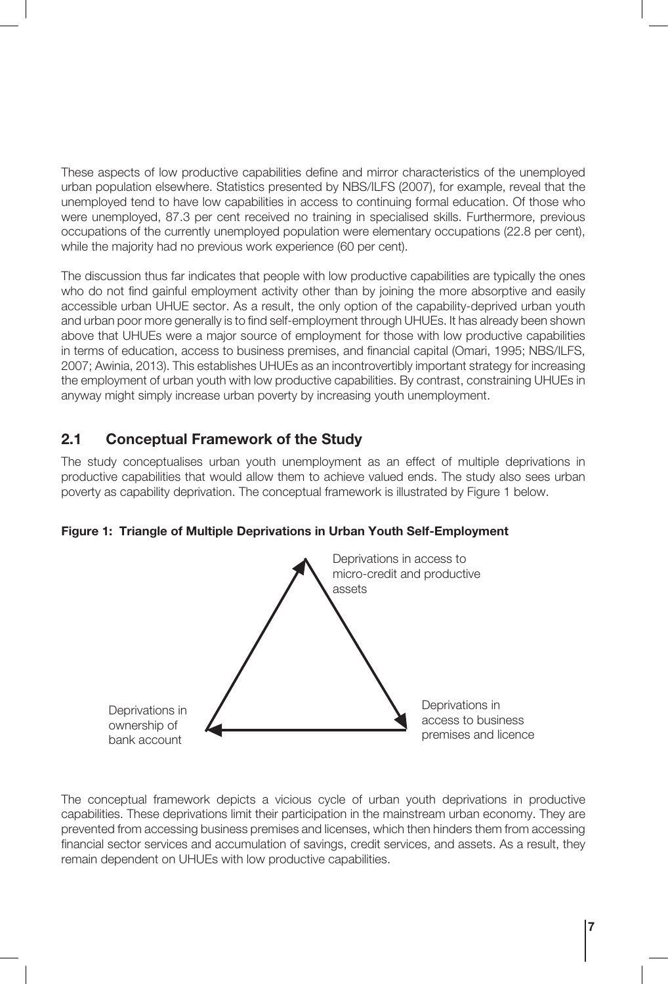These aspects of low productive capabilities define and mirror characteristics of the unemployed urban population elsewhere. Statistics presented by NBS/ILFS (2007), for example, reveal that the unemployed tend to have low capabilities in access to continuing formal education. Of those who were unemployed, 87.3 per cent received no training in specialised skills. Furthermore, previous occupations of the currently unemployed population were elementary occupations (22.8 per cent), while the majority had no previous work experience (60 per cent).

The discussion thus far indicates that people with low productive capabilities are typically the ones who do not find gainful employment activity other than by joining the more absorptive and easily accessible urban UHUE sector. As a result, the only option of the capability-deprived urban youth and urban poor more generally is to find self-employment through UHUEs. It has already been shown above that UHUEs were a major source of employment for those with low productive capabilities in terms of education, access to business premises, and financial capital (Omari, 1995; NBS/ILFS, 2007; Awinia, 2013). This establishes UHUEs as an incontrovertibly important strategy for increasing the employment of urban youth with low productive capabilities. By contrast, constraining UHUEs in anyway might simply increase urban poverty by increasing youth unemployment.

#### **2.1 Conceptual Framework of the Study**

The study conceptualises urban youth unemployment as an effect of multiple deprivations in productive capabilities that would allow them to achieve valued ends. The study also sees urban poverty as capability deprivation. The conceptual framework is illustrated by Figure 1 below.



**Figure 1: Triangle of Multiple Deprivations in Urban Youth Self-Employment**

The conceptual framework depicts a vicious cycle of urban youth deprivations in productive capabilities. These deprivations limit their participation in the mainstream urban economy. They are prevented from accessing business premises and licenses, which then hinders them from accessing financial sector services and accumulation of savings, credit services, and assets. As a result, they remain dependent on UHUEs with low productive capabilities.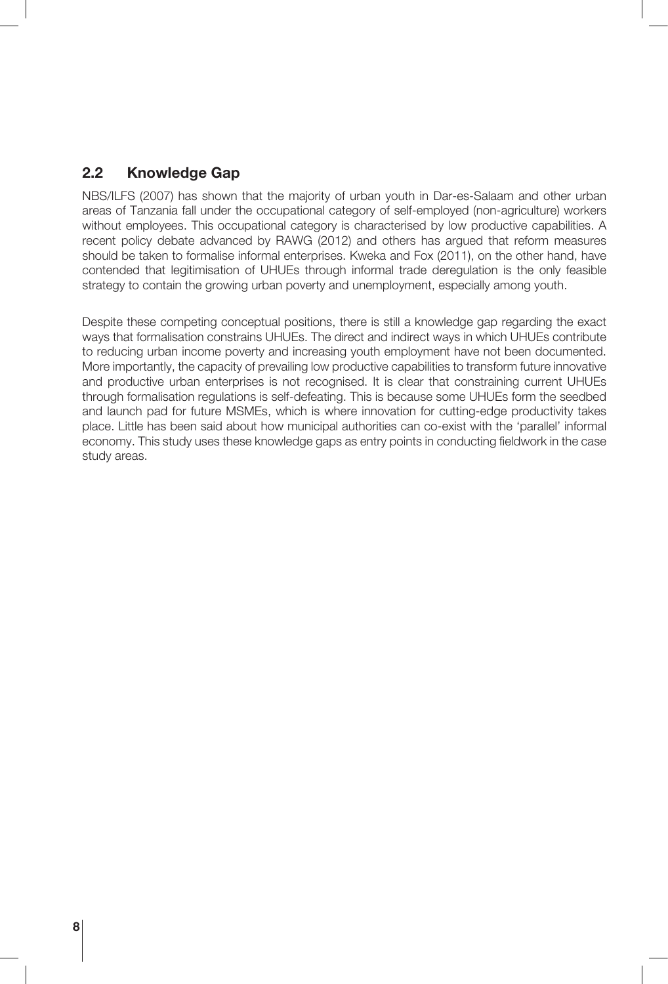#### **2.2 Knowledge Gap**

NBS/ILFS (2007) has shown that the majority of urban youth in Dar-es-Salaam and other urban areas of Tanzania fall under the occupational category of self-employed (non-agriculture) workers without employees. This occupational category is characterised by low productive capabilities. A recent policy debate advanced by RAWG (2012) and others has argued that reform measures should be taken to formalise informal enterprises. Kweka and Fox (2011), on the other hand, have contended that legitimisation of UHUEs through informal trade deregulation is the only feasible strategy to contain the growing urban poverty and unemployment, especially among youth.

Despite these competing conceptual positions, there is still a knowledge gap regarding the exact ways that formalisation constrains UHUEs. The direct and indirect ways in which UHUEs contribute to reducing urban income poverty and increasing youth employment have not been documented. More importantly, the capacity of prevailing low productive capabilities to transform future innovative and productive urban enterprises is not recognised. It is clear that constraining current UHUEs through formalisation regulations is self-defeating. This is because some UHUEs form the seedbed and launch pad for future MSMEs, which is where innovation for cutting-edge productivity takes place. Little has been said about how municipal authorities can co-exist with the 'parallel' informal economy. This study uses these knowledge gaps as entry points in conducting fieldwork in the case study areas.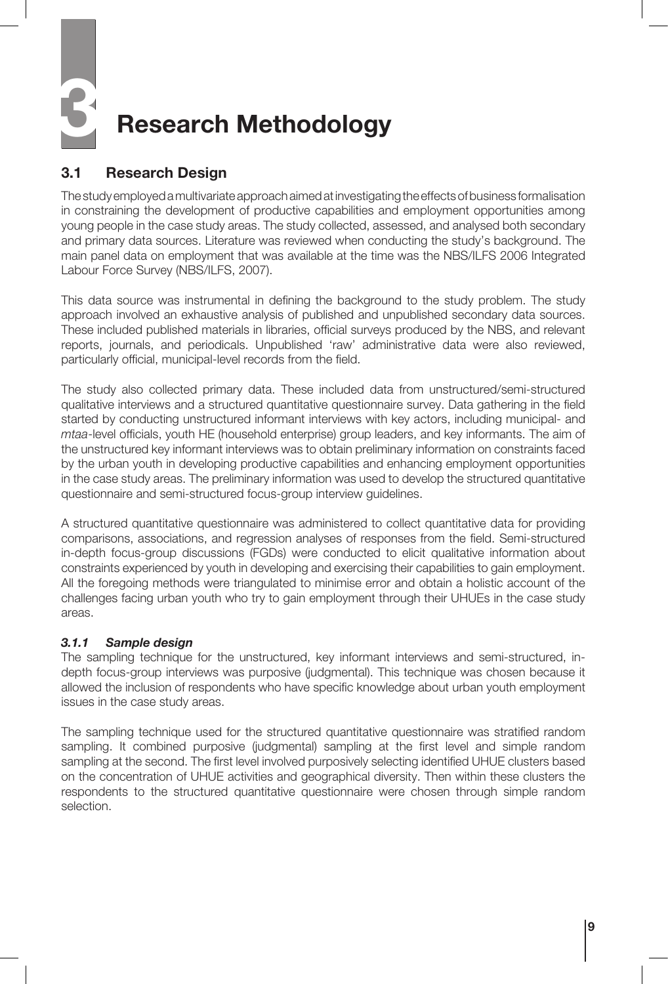# **3 Research Methodology**

#### **3.1 Research Design**

The study employed a multivariate approach aimed at investigating the effects of business formalisation in constraining the development of productive capabilities and employment opportunities among young people in the case study areas. The study collected, assessed, and analysed both secondary and primary data sources. Literature was reviewed when conducting the study's background. The main panel data on employment that was available at the time was the NBS/ILFS 2006 Integrated Labour Force Survey (NBS/ILFS, 2007).

This data source was instrumental in defining the background to the study problem. The study approach involved an exhaustive analysis of published and unpublished secondary data sources. These included published materials in libraries, official surveys produced by the NBS, and relevant reports, journals, and periodicals. Unpublished 'raw' administrative data were also reviewed, particularly official, municipal-level records from the field.

The study also collected primary data. These included data from unstructured/semi-structured qualitative interviews and a structured quantitative questionnaire survey. Data gathering in the field started by conducting unstructured informant interviews with key actors, including municipal- and *mtaa*-level officials, youth HE (household enterprise) group leaders, and key informants. The aim of the unstructured key informant interviews was to obtain preliminary information on constraints faced by the urban youth in developing productive capabilities and enhancing employment opportunities in the case study areas. The preliminary information was used to develop the structured quantitative questionnaire and semi-structured focus-group interview guidelines.

A structured quantitative questionnaire was administered to collect quantitative data for providing comparisons, associations, and regression analyses of responses from the field. Semi-structured in-depth focus-group discussions (FGDs) were conducted to elicit qualitative information about constraints experienced by youth in developing and exercising their capabilities to gain employment. All the foregoing methods were triangulated to minimise error and obtain a holistic account of the challenges facing urban youth who try to gain employment through their UHUEs in the case study areas.

#### *3.1.1 Sample design*

The sampling technique for the unstructured, key informant interviews and semi-structured, indepth focus-group interviews was purposive (judgmental). This technique was chosen because it allowed the inclusion of respondents who have specific knowledge about urban youth employment issues in the case study areas.

The sampling technique used for the structured quantitative questionnaire was stratified random sampling. It combined purposive (judgmental) sampling at the first level and simple random sampling at the second. The first level involved purposively selecting identified UHUE clusters based on the concentration of UHUE activities and geographical diversity. Then within these clusters the respondents to the structured quantitative questionnaire were chosen through simple random selection.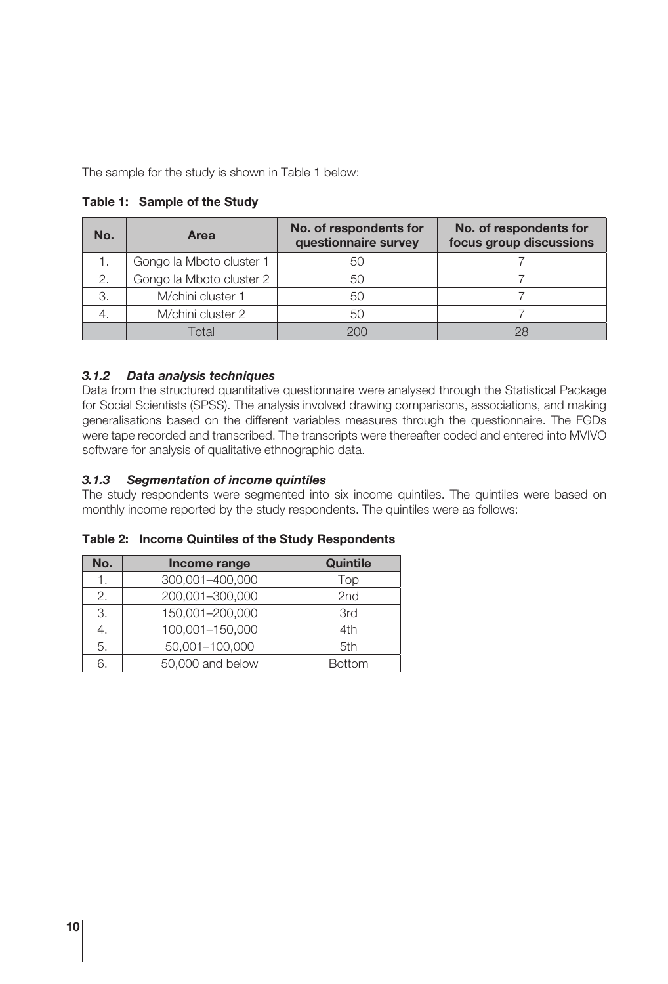The sample for the study is shown in Table 1 below:

| No. | No. of respondents for<br><b>Area</b><br>questionnaire survey |     | No. of respondents for<br>focus group discussions |  |
|-----|---------------------------------------------------------------|-----|---------------------------------------------------|--|
| 1.  | Gongo la Mboto cluster 1                                      | 50  |                                                   |  |
| 2.  | Gongo la Mboto cluster 2                                      | 50  |                                                   |  |
| 3.  | M/chini cluster 1                                             | 50  |                                                   |  |
|     | M/chini cluster 2                                             | 50  |                                                   |  |
|     | Total                                                         | 200 | 28                                                |  |

**Table 1: Sample of the Study**

#### *3.1.2 Data analysis techniques*

Data from the structured quantitative questionnaire were analysed through the Statistical Package for Social Scientists (SPSS). The analysis involved drawing comparisons, associations, and making generalisations based on the different variables measures through the questionnaire. The FGDs were tape recorded and transcribed. The transcripts were thereafter coded and entered into MVIVO software for analysis of qualitative ethnographic data.

#### *3.1.3 Segmentation of income quintiles*

The study respondents were segmented into six income quintiles. The quintiles were based on monthly income reported by the study respondents. The quintiles were as follows:

**Table 2: Income Quintiles of the Study Respondents**

| No. | Income range     | Quintile      |
|-----|------------------|---------------|
| 1.  | 300,001-400,000  | Top           |
| 2.  | 200,001-300,000  | 2nd           |
| 3.  | 150,001-200,000  | 3rd           |
| 4.  | 100,001-150,000  | 4th           |
| 5.  | 50,001-100,000   | 5th           |
| 6.  | 50,000 and below | <b>Bottom</b> |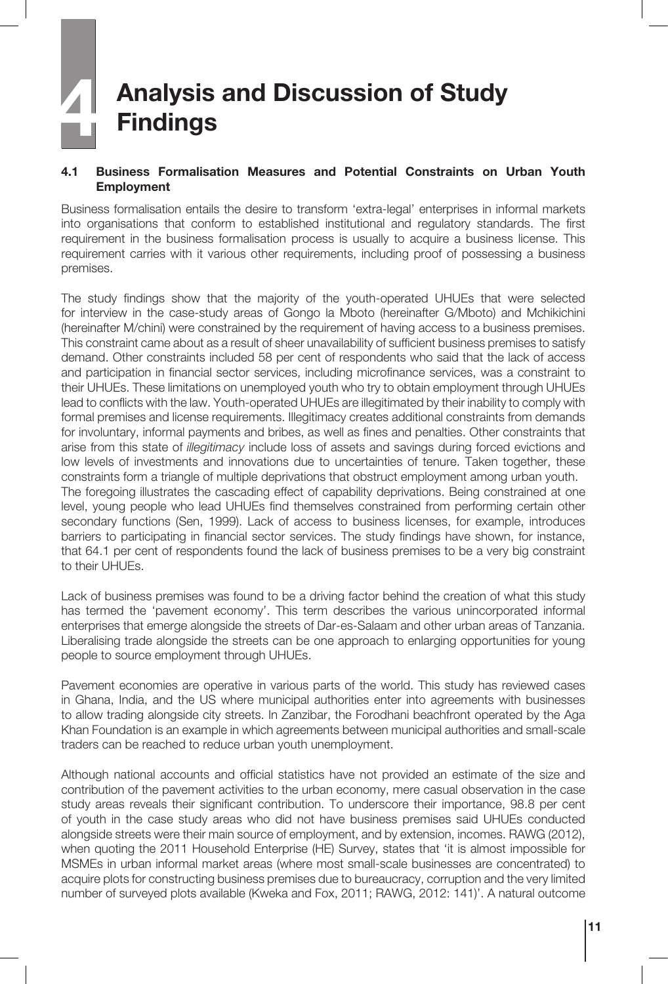# **4 Analysis and Discussion of Study Findings**

#### **4.1 Business Formalisation Measures and Potential Constraints on Urban Youth Employment**

Business formalisation entails the desire to transform 'extra-legal' enterprises in informal markets into organisations that conform to established institutional and regulatory standards. The first requirement in the business formalisation process is usually to acquire a business license. This requirement carries with it various other requirements, including proof of possessing a business premises.

The study findings show that the majority of the youth-operated UHUEs that were selected for interview in the case-study areas of Gongo la Mboto (hereinafter G/Mboto) and Mchikichini (hereinafter M/chini) were constrained by the requirement of having access to a business premises. This constraint came about as a result of sheer unavailability of sufficient business premises to satisfy demand. Other constraints included 58 per cent of respondents who said that the lack of access and participation in financial sector services, including microfinance services, was a constraint to their UHUEs. These limitations on unemployed youth who try to obtain employment through UHUEs lead to conflicts with the law. Youth-operated UHUEs are illegitimated by their inability to comply with formal premises and license requirements. Illegitimacy creates additional constraints from demands for involuntary, informal payments and bribes, as well as fines and penalties. Other constraints that arise from this state of *illegitimacy* include loss of assets and savings during forced evictions and low levels of investments and innovations due to uncertainties of tenure. Taken together, these constraints form a triangle of multiple deprivations that obstruct employment among urban youth. The foregoing illustrates the cascading effect of capability deprivations. Being constrained at one level, young people who lead UHUEs find themselves constrained from performing certain other secondary functions (Sen, 1999). Lack of access to business licenses, for example, introduces barriers to participating in financial sector services. The study findings have shown, for instance, that 64.1 per cent of respondents found the lack of business premises to be a very big constraint to their UHUEs.

Lack of business premises was found to be a driving factor behind the creation of what this study has termed the 'pavement economy'. This term describes the various unincorporated informal enterprises that emerge alongside the streets of Dar-es-Salaam and other urban areas of Tanzania. Liberalising trade alongside the streets can be one approach to enlarging opportunities for young people to source employment through UHUEs.

Pavement economies are operative in various parts of the world. This study has reviewed cases in Ghana, India, and the US where municipal authorities enter into agreements with businesses to allow trading alongside city streets. In Zanzibar, the Forodhani beachfront operated by the Aga Khan Foundation is an example in which agreements between municipal authorities and small-scale traders can be reached to reduce urban youth unemployment.

Although national accounts and official statistics have not provided an estimate of the size and contribution of the pavement activities to the urban economy, mere casual observation in the case study areas reveals their significant contribution. To underscore their importance, 98.8 per cent of youth in the case study areas who did not have business premises said UHUEs conducted alongside streets were their main source of employment, and by extension, incomes. RAWG (2012), when quoting the 2011 Household Enterprise (HE) Survey, states that 'it is almost impossible for MSMEs in urban informal market areas (where most small-scale businesses are concentrated) to acquire plots for constructing business premises due to bureaucracy, corruption and the very limited number of surveyed plots available (Kweka and Fox, 2011; RAWG, 2012: 141)'. A natural outcome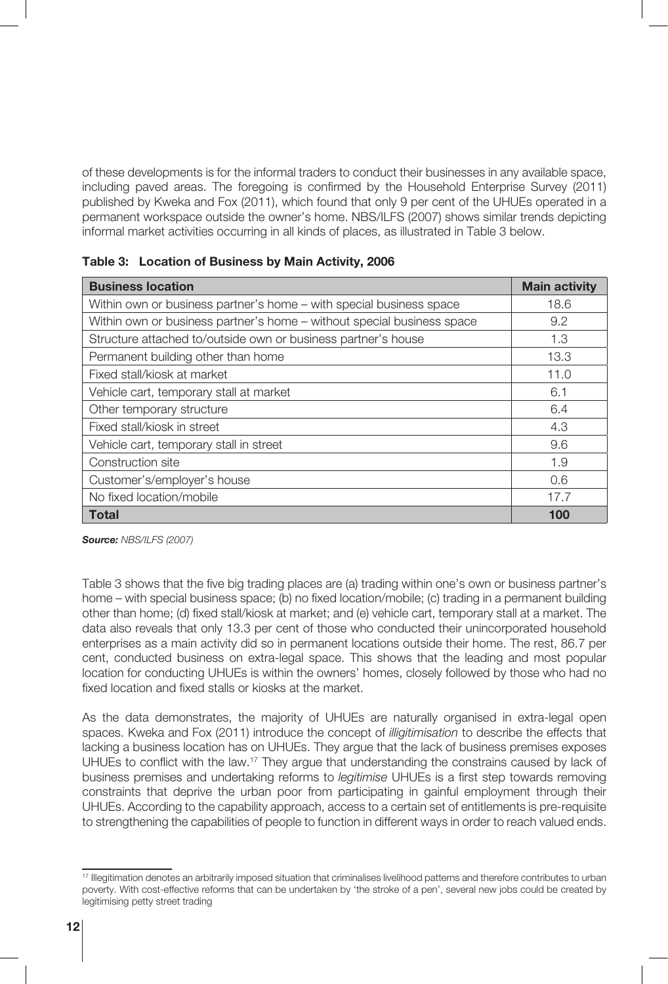of these developments is for the informal traders to conduct their businesses in any available space, including paved areas. The foregoing is confirmed by the Household Enterprise Survey (2011) published by Kweka and Fox (2011), which found that only 9 per cent of the UHUEs operated in a permanent workspace outside the owner's home. NBS/ILFS (2007) shows similar trends depicting informal market activities occurring in all kinds of places, as illustrated in Table 3 below.

| <b>Business location</b>                                               | <b>Main activity</b> |
|------------------------------------------------------------------------|----------------------|
| Within own or business partner's home – with special business space    | 18.6                 |
| Within own or business partner's home – without special business space | 9.2                  |
| Structure attached to/outside own or business partner's house          | 1.3                  |
| Permanent building other than home                                     | 13.3                 |
| Fixed stall/kiosk at market                                            | 11.0                 |
| Vehicle cart, temporary stall at market                                | 6.1                  |
| Other temporary structure                                              | 6.4                  |
| Fixed stall/kiosk in street                                            | 4.3                  |
| Vehicle cart, temporary stall in street                                | 9.6                  |
| Construction site                                                      | 1.9                  |
| Customer's/employer's house                                            | 0.6                  |
| No fixed location/mobile                                               | 17.7                 |
| <b>Total</b>                                                           | 100                  |

|  | Table 3: Location of Business by Main Activity, 2006 |  |  |  |  |
|--|------------------------------------------------------|--|--|--|--|
|--|------------------------------------------------------|--|--|--|--|

*Source: NBS/ILFS (2007)*

Table 3 shows that the five big trading places are (a) trading within one's own or business partner's home – with special business space; (b) no fixed location/mobile; (c) trading in a permanent building other than home; (d) fixed stall/kiosk at market; and (e) vehicle cart, temporary stall at a market. The data also reveals that only 13.3 per cent of those who conducted their unincorporated household enterprises as a main activity did so in permanent locations outside their home. The rest, 86.7 per cent, conducted business on extra-legal space. This shows that the leading and most popular location for conducting UHUEs is within the owners' homes, closely followed by those who had no fixed location and fixed stalls or kiosks at the market.

As the data demonstrates, the majority of UHUEs are naturally organised in extra-legal open spaces. Kweka and Fox (2011) introduce the concept of *illigitimisation* to describe the effects that lacking a business location has on UHUEs. They argue that the lack of business premises exposes UHUEs to conflict with the law.<sup>17</sup> They argue that understanding the constrains caused by lack of business premises and undertaking reforms to *legitimise* UHUEs is a first step towards removing constraints that deprive the urban poor from participating in gainful employment through their UHUEs. According to the capability approach, access to a certain set of entitlements is pre-requisite to strengthening the capabilities of people to function in different ways in order to reach valued ends.

<sup>17</sup> Illegitimation denotes an arbitrarily imposed situation that criminalises livelihood patterns and therefore contributes to urban poverty. With cost-effective reforms that can be undertaken by 'the stroke of a pen', several new jobs could be created by legitimising petty street trading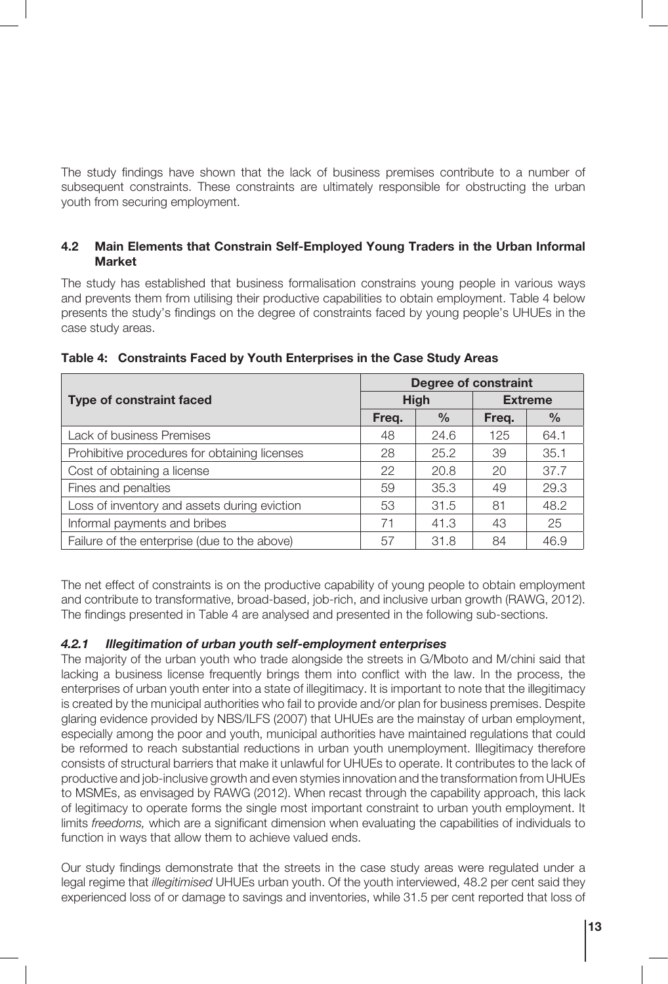The study findings have shown that the lack of business premises contribute to a number of subsequent constraints. These constraints are ultimately responsible for obstructing the urban youth from securing employment.

#### **4.2 Main Elements that Constrain Self-Employed Young Traders in the Urban Informal Market**

The study has established that business formalisation constrains young people in various ways and prevents them from utilising their productive capabilities to obtain employment. Table 4 below presents the study's findings on the degree of constraints faced by young people's UHUEs in the case study areas.

|                                               | <b>Degree of constraint</b> |               |                |      |
|-----------------------------------------------|-----------------------------|---------------|----------------|------|
| <b>Type of constraint faced</b>               | <b>High</b>                 |               | <b>Extreme</b> |      |
|                                               | Freg.                       | $\frac{0}{0}$ | Freg.          | $\%$ |
| Lack of business Premises                     | 48                          | 24.6          | 125            | 64.1 |
| Prohibitive procedures for obtaining licenses | 28                          | 25.2          | 39             | 35.1 |
| Cost of obtaining a license                   | 22                          | 20.8          | 20             | 37.7 |
| Fines and penalties                           | 59                          | 35.3          | 49             | 29.3 |
| Loss of inventory and assets during eviction  | 53                          | 31.5          | 81             | 48.2 |
| Informal payments and bribes                  | 71                          | 41.3          | 43             | 25   |
| Failure of the enterprise (due to the above)  | 57                          | 31.8          | 84             | 46.9 |

**Table 4: Constraints Faced by Youth Enterprises in the Case Study Areas**

The net effect of constraints is on the productive capability of young people to obtain employment and contribute to transformative, broad-based, job-rich, and inclusive urban growth (RAWG, 2012). The findings presented in Table 4 are analysed and presented in the following sub-sections.

#### *4.2.1 Illegitimation of urban youth self-employment enterprises*

The majority of the urban youth who trade alongside the streets in G/Mboto and M/chini said that lacking a business license frequently brings them into conflict with the law. In the process, the enterprises of urban youth enter into a state of illegitimacy. It is important to note that the illegitimacy is created by the municipal authorities who fail to provide and/or plan for business premises. Despite glaring evidence provided by NBS/ILFS (2007) that UHUEs are the mainstay of urban employment, especially among the poor and youth, municipal authorities have maintained regulations that could be reformed to reach substantial reductions in urban youth unemployment. Illegitimacy therefore consists of structural barriers that make it unlawful for UHUEs to operate. It contributes to the lack of productive and job-inclusive growth and even stymies innovation and the transformation from UHUEs to MSMEs, as envisaged by RAWG (2012). When recast through the capability approach, this lack of legitimacy to operate forms the single most important constraint to urban youth employment. It limits *freedoms,* which are a significant dimension when evaluating the capabilities of individuals to function in ways that allow them to achieve valued ends.

Our study findings demonstrate that the streets in the case study areas were regulated under a legal regime that *illegitimised* UHUEs urban youth. Of the youth interviewed, 48.2 per cent said they experienced loss of or damage to savings and inventories, while 31.5 per cent reported that loss of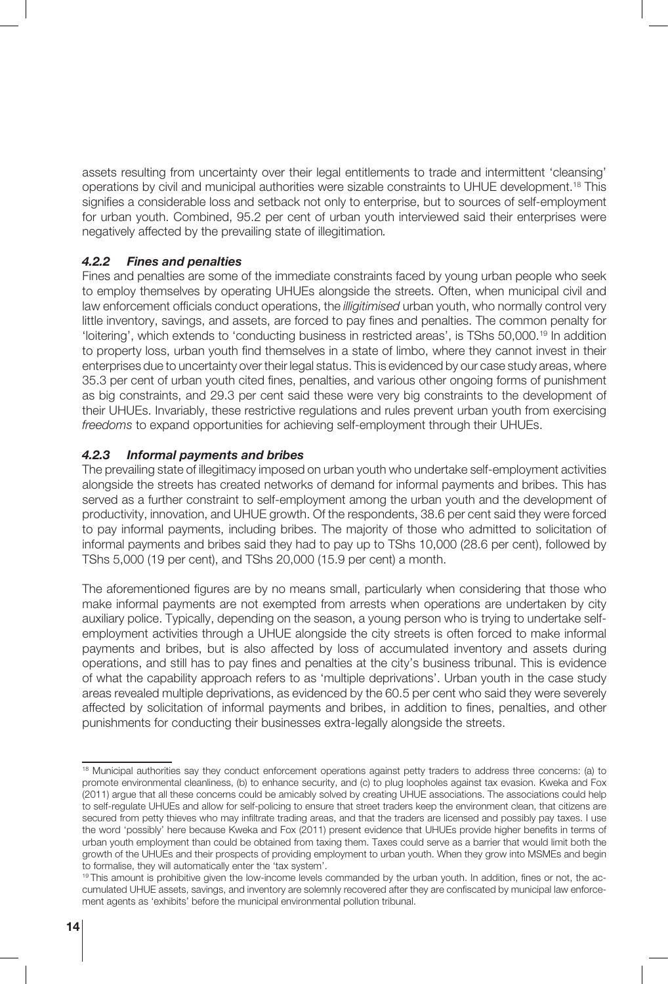assets resulting from uncertainty over their legal entitlements to trade and intermittent 'cleansing' operations by civil and municipal authorities were sizable constraints to UHUE development.<sup>18</sup> This signifies a considerable loss and setback not only to enterprise, but to sources of self-employment for urban youth. Combined, 95.2 per cent of urban youth interviewed said their enterprises were negatively affected by the prevailing state of illegitimation*.*

#### *4.2.2 Fines and penalties*

Fines and penalties are some of the immediate constraints faced by young urban people who seek to employ themselves by operating UHUEs alongside the streets. Often, when municipal civil and law enforcement officials conduct operations, the *illigitimised* urban youth, who normally control very little inventory, savings, and assets, are forced to pay fines and penalties. The common penalty for 'loitering', which extends to 'conducting business in restricted areas', is TShs 50,000.19 In addition to property loss, urban youth find themselves in a state of limbo, where they cannot invest in their enterprises due to uncertainty over their legal status. This is evidenced by our case study areas, where 35.3 per cent of urban youth cited fines, penalties, and various other ongoing forms of punishment as big constraints, and 29.3 per cent said these were very big constraints to the development of their UHUEs. Invariably, these restrictive regulations and rules prevent urban youth from exercising *freedoms* to expand opportunities for achieving self-employment through their UHUEs.

#### *4.2.3 Informal payments and bribes*

The prevailing state of illegitimacy imposed on urban youth who undertake self-employment activities alongside the streets has created networks of demand for informal payments and bribes. This has served as a further constraint to self-employment among the urban youth and the development of productivity, innovation, and UHUE growth. Of the respondents, 38.6 per cent said they were forced to pay informal payments, including bribes. The majority of those who admitted to solicitation of informal payments and bribes said they had to pay up to TShs 10,000 (28.6 per cent), followed by TShs 5,000 (19 per cent), and TShs 20,000 (15.9 per cent) a month.

The aforementioned figures are by no means small, particularly when considering that those who make informal payments are not exempted from arrests when operations are undertaken by city auxiliary police. Typically, depending on the season, a young person who is trying to undertake selfemployment activities through a UHUE alongside the city streets is often forced to make informal payments and bribes, but is also affected by loss of accumulated inventory and assets during operations, and still has to pay fines and penalties at the city's business tribunal. This is evidence of what the capability approach refers to as 'multiple deprivations'. Urban youth in the case study areas revealed multiple deprivations, as evidenced by the 60.5 per cent who said they were severely affected by solicitation of informal payments and bribes, in addition to fines, penalties, and other punishments for conducting their businesses extra-legally alongside the streets.

<sup>&</sup>lt;sup>18</sup> Municipal authorities say they conduct enforcement operations against petty traders to address three concerns: (a) to promote environmental cleanliness, (b) to enhance security, and (c) to plug loopholes against tax evasion. Kweka and Fox (2011) argue that all these concerns could be amicably solved by creating UHUE associations. The associations could help to self-regulate UHUEs and allow for self-policing to ensure that street traders keep the environment clean, that citizens are secured from petty thieves who may infiltrate trading areas, and that the traders are licensed and possibly pay taxes. I use the word 'possibly' here because Kweka and Fox (2011) present evidence that UHUEs provide higher benefits in terms of urban youth employment than could be obtained from taxing them. Taxes could serve as a barrier that would limit both the growth of the UHUEs and their prospects of providing employment to urban youth. When they grow into MSMEs and begin to formalise, they will automatically enter the 'tax system'.

<sup>19</sup> This amount is prohibitive given the low-income levels commanded by the urban youth. In addition, fines or not, the accumulated UHUE assets, savings, and inventory are solemnly recovered after they are confiscated by municipal law enforcement agents as 'exhibits' before the municipal environmental pollution tribunal.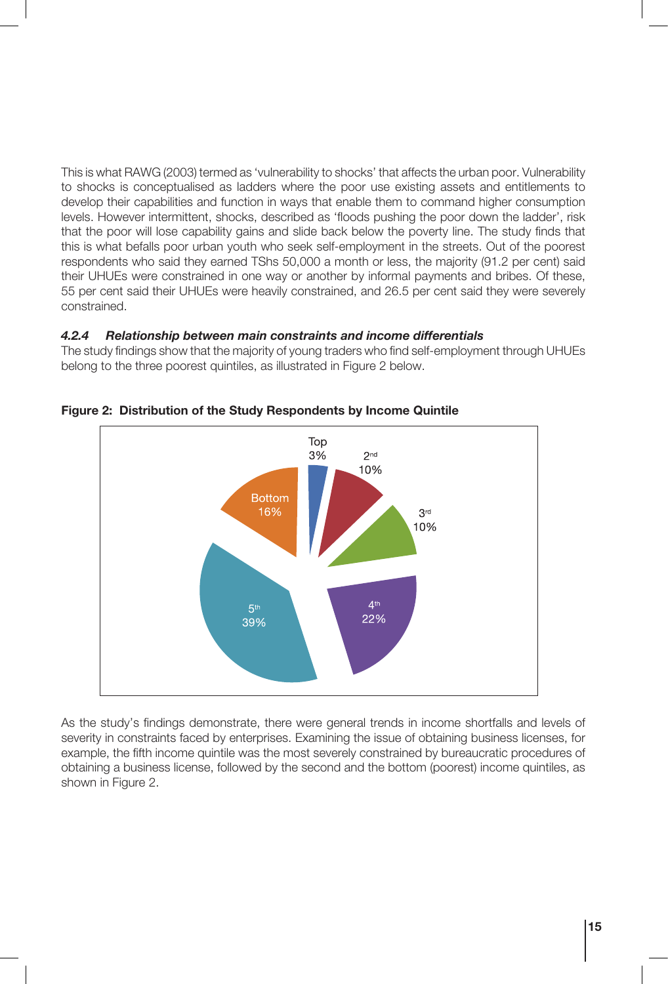This is what RAWG (2003) termed as 'vulnerability to shocks' that affects the urban poor. Vulnerability to shocks is conceptualised as ladders where the poor use existing assets and entitlements to develop their capabilities and function in ways that enable them to command higher consumption levels. However intermittent, shocks, described as 'floods pushing the poor down the ladder', risk that the poor will lose capability gains and slide back below the poverty line. The study finds that this is what befalls poor urban youth who seek self-employment in the streets. Out of the poorest respondents who said they earned TShs 50,000 a month or less, the majority (91.2 per cent) said their UHUEs were constrained in one way or another by informal payments and bribes. Of these, 55 per cent said their UHUEs were heavily constrained, and 26.5 per cent said they were severely constrained.

#### *4.2.4 Relationship between main constraints and income differentials*

The study findings show that the majority of young traders who find self-employment through UHUEs belong to the three poorest quintiles, as illustrated in Figure 2 below.



**Figure 2: Distribution of the Study Respondents by Income Quintile**

As the study's findings demonstrate, there were general trends in income shortfalls and levels of severity in constraints faced by enterprises. Examining the issue of obtaining business licenses, for example, the fifth income quintile was the most severely constrained by bureaucratic procedures of obtaining a business license, followed by the second and the bottom (poorest) income quintiles, as shown in Figure 2.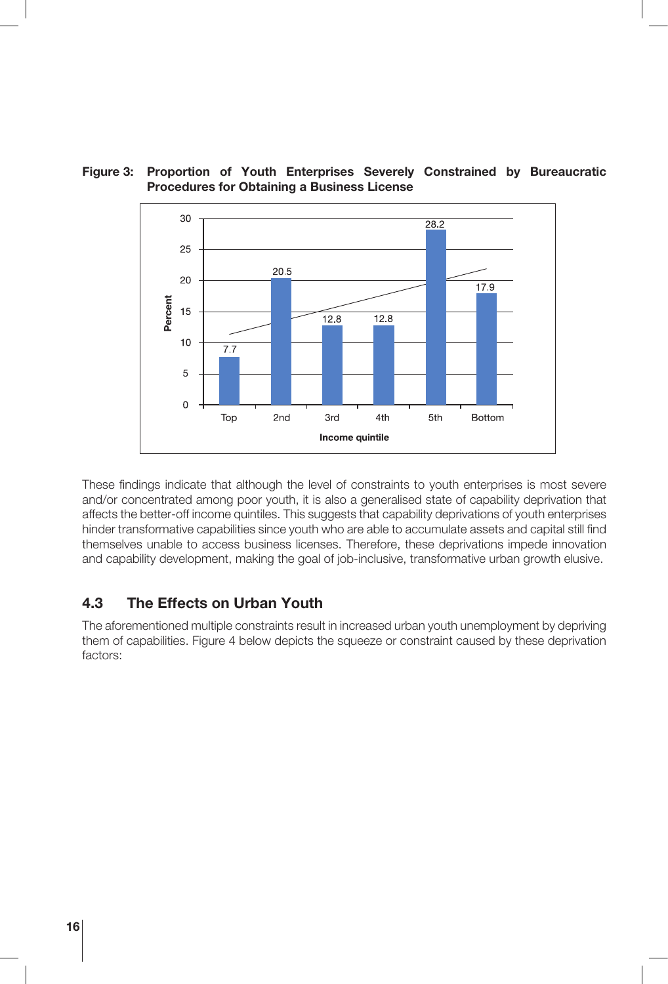

**Figure 3: Proportion of Youth Enterprises Severely Constrained by Bureaucratic Procedures for Obtaining a Business License**

These findings indicate that although the level of constraints to youth enterprises is most severe and/or concentrated among poor youth, it is also a generalised state of capability deprivation that affects the better-off income quintiles. This suggests that capability deprivations of youth enterprises hinder transformative capabilities since youth who are able to accumulate assets and capital still find themselves unable to access business licenses. Therefore, these deprivations impede innovation and capability development, making the goal of job-inclusive, transformative urban growth elusive.

#### **4.3 The Effects on Urban Youth**

The aforementioned multiple constraints result in increased urban youth unemployment by depriving them of capabilities. Figure 4 below depicts the squeeze or constraint caused by these deprivation factors: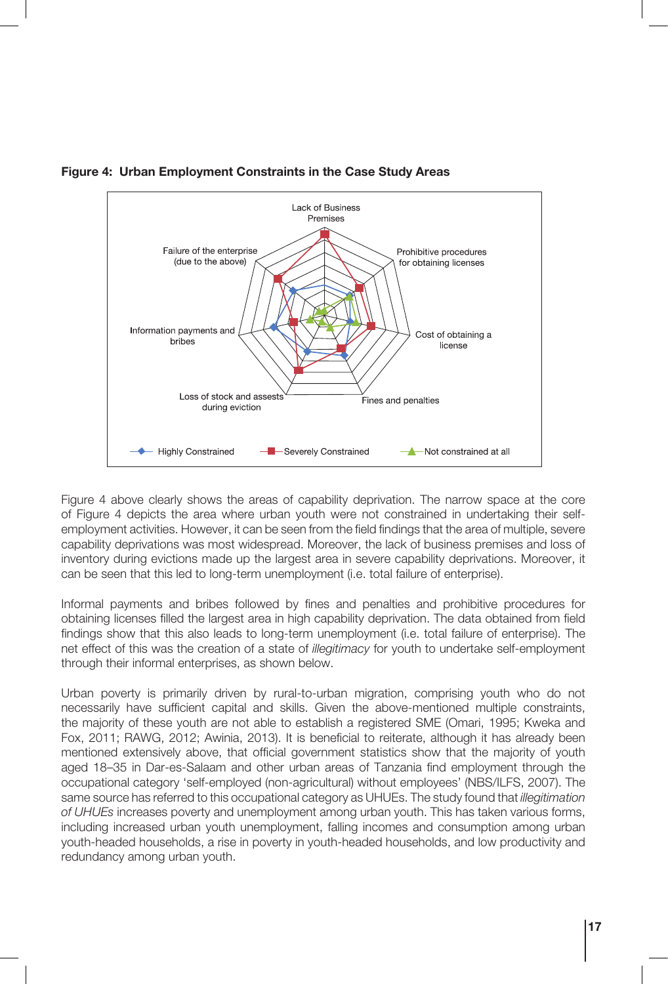

#### **Figure 4: Urban Employment Constraints in the Case Study Areas**

Figure 4 above clearly shows the areas of capability deprivation. The narrow space at the core of Figure 4 depicts the area where urban youth were not constrained in undertaking their selfemployment activities. However, it can be seen from the field findings that the area of multiple, severe capability deprivations was most widespread. Moreover, the lack of business premises and loss of inventory during evictions made up the largest area in severe capability deprivations. Moreover, it can be seen that this led to long-term unemployment (i.e. total failure of enterprise).

Informal payments and bribes followed by fines and penalties and prohibitive procedures for obtaining licenses filled the largest area in high capability deprivation. The data obtained from field findings show that this also leads to long-term unemployment (i.e. total failure of enterprise). The net effect of this was the creation of a state of *illegitimacy* for youth to undertake self-employment through their informal enterprises, as shown below.

Urban poverty is primarily driven by rural-to-urban migration, comprising youth who do not necessarily have sufficient capital and skills. Given the above-mentioned multiple constraints, the majority of these youth are not able to establish a registered SME (Omari, 1995; Kweka and Fox, 2011; RAWG, 2012; Awinia, 2013). It is beneficial to reiterate, although it has already been mentioned extensively above, that official government statistics show that the majority of youth aged 18–35 in Dar-es-Salaam and other urban areas of Tanzania find employment through the occupational category 'self-employed (non-agricultural) without employees' (NBS/ILFS, 2007). The same source has referred to this occupational category as UHUEs. The study found that *illegitimation of UHUEs* increases poverty and unemployment among urban youth. This has taken various forms, including increased urban youth unemployment, falling incomes and consumption among urban youth-headed households, a rise in poverty in youth-headed households, and low productivity and redundancy among urban youth.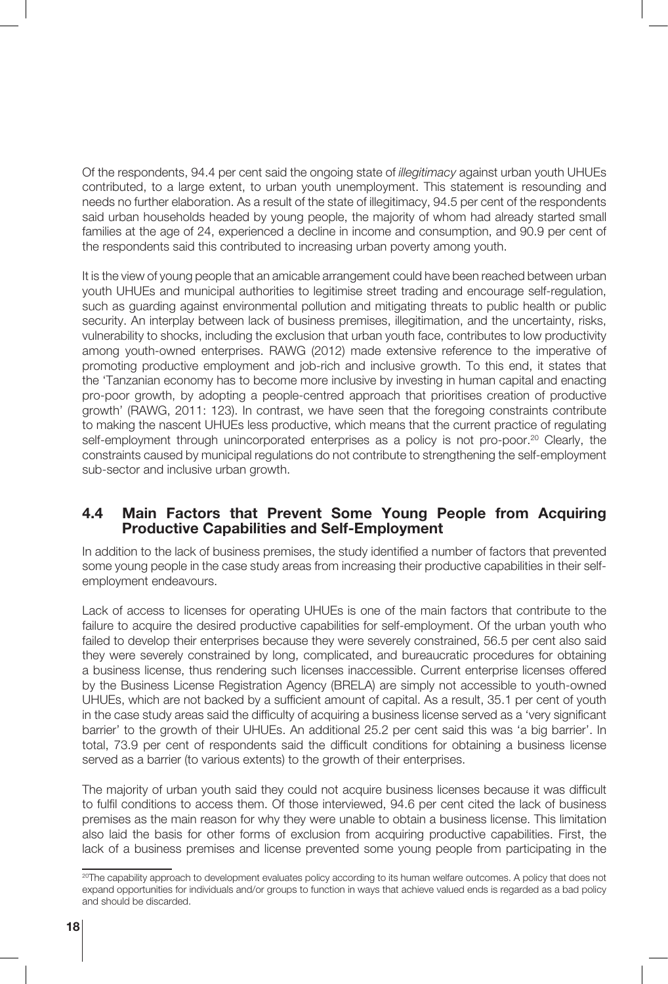Of the respondents, 94.4 per cent said the ongoing state of *illegitimacy* against urban youth UHUEs contributed, to a large extent, to urban youth unemployment. This statement is resounding and needs no further elaboration. As a result of the state of illegitimacy, 94.5 per cent of the respondents said urban households headed by young people, the majority of whom had already started small families at the age of 24, experienced a decline in income and consumption, and 90.9 per cent of the respondents said this contributed to increasing urban poverty among youth.

It is the view of young people that an amicable arrangement could have been reached between urban youth UHUEs and municipal authorities to legitimise street trading and encourage self-regulation, such as guarding against environmental pollution and mitigating threats to public health or public security. An interplay between lack of business premises, illegitimation, and the uncertainty, risks, vulnerability to shocks, including the exclusion that urban youth face, contributes to low productivity among youth-owned enterprises. RAWG (2012) made extensive reference to the imperative of promoting productive employment and job-rich and inclusive growth. To this end, it states that the 'Tanzanian economy has to become more inclusive by investing in human capital and enacting pro-poor growth, by adopting a people-centred approach that prioritises creation of productive growth' (RAWG, 2011: 123). In contrast, we have seen that the foregoing constraints contribute to making the nascent UHUEs less productive, which means that the current practice of regulating self-employment through unincorporated enterprises as a policy is not pro-poor.<sup>20</sup> Clearly, the constraints caused by municipal regulations do not contribute to strengthening the self-employment sub-sector and inclusive urban growth.

#### **4.4 Main Factors that Prevent Some Young People from Acquiring Productive Capabilities and Self-Employment**

In addition to the lack of business premises, the study identified a number of factors that prevented some young people in the case study areas from increasing their productive capabilities in their selfemployment endeavours.

Lack of access to licenses for operating UHUEs is one of the main factors that contribute to the failure to acquire the desired productive capabilities for self-employment. Of the urban youth who failed to develop their enterprises because they were severely constrained, 56.5 per cent also said they were severely constrained by long, complicated, and bureaucratic procedures for obtaining a business license, thus rendering such licenses inaccessible. Current enterprise licenses offered by the Business License Registration Agency (BRELA) are simply not accessible to youth-owned UHUEs, which are not backed by a sufficient amount of capital. As a result, 35.1 per cent of youth in the case study areas said the difficulty of acquiring a business license served as a 'very significant barrier' to the growth of their UHUEs. An additional 25.2 per cent said this was 'a big barrier'. In total, 73.9 per cent of respondents said the difficult conditions for obtaining a business license served as a barrier (to various extents) to the growth of their enterprises.

The majority of urban youth said they could not acquire business licenses because it was difficult to fulfil conditions to access them. Of those interviewed, 94.6 per cent cited the lack of business premises as the main reason for why they were unable to obtain a business license. This limitation also laid the basis for other forms of exclusion from acquiring productive capabilities. First, the lack of a business premises and license prevented some young people from participating in the

<sup>&</sup>lt;sup>20</sup>The capability approach to development evaluates policy according to its human welfare outcomes. A policy that does not expand opportunities for individuals and/or groups to function in ways that achieve valued ends is regarded as a bad policy and should be discarded.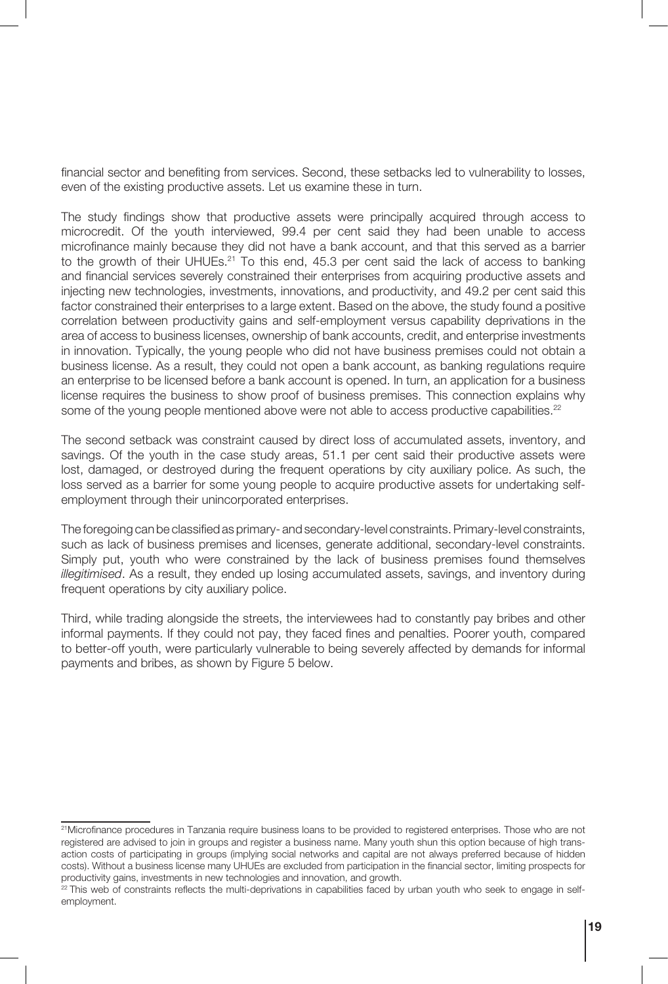financial sector and benefiting from services. Second, these setbacks led to vulnerability to losses, even of the existing productive assets. Let us examine these in turn.

The study findings show that productive assets were principally acquired through access to microcredit. Of the youth interviewed, 99.4 per cent said they had been unable to access microfinance mainly because they did not have a bank account, and that this served as a barrier to the growth of their UHUEs.<sup>21</sup> To this end, 45.3 per cent said the lack of access to banking and financial services severely constrained their enterprises from acquiring productive assets and injecting new technologies, investments, innovations, and productivity, and 49.2 per cent said this factor constrained their enterprises to a large extent. Based on the above, the study found a positive correlation between productivity gains and self-employment versus capability deprivations in the area of access to business licenses, ownership of bank accounts, credit, and enterprise investments in innovation. Typically, the young people who did not have business premises could not obtain a business license. As a result, they could not open a bank account, as banking regulations require an enterprise to be licensed before a bank account is opened. In turn, an application for a business license requires the business to show proof of business premises. This connection explains why some of the young people mentioned above were not able to access productive capabilities.<sup>22</sup>

The second setback was constraint caused by direct loss of accumulated assets, inventory, and savings. Of the youth in the case study areas, 51.1 per cent said their productive assets were lost, damaged, or destroyed during the frequent operations by city auxiliary police. As such, the loss served as a barrier for some young people to acquire productive assets for undertaking selfemployment through their unincorporated enterprises.

The foregoing can be classified as primary- and secondary-level constraints. Primary-level constraints, such as lack of business premises and licenses, generate additional, secondary-level constraints. Simply put, youth who were constrained by the lack of business premises found themselves *illegitimised*. As a result, they ended up losing accumulated assets, savings, and inventory during frequent operations by city auxiliary police.

Third, while trading alongside the streets, the interviewees had to constantly pay bribes and other informal payments. If they could not pay, they faced fines and penalties. Poorer youth, compared to better-off youth, were particularly vulnerable to being severely affected by demands for informal payments and bribes, as shown by Figure 5 below.

<sup>21</sup>Microfinance procedures in Tanzania require business loans to be provided to registered enterprises. Those who are not registered are advised to join in groups and register a business name. Many youth shun this option because of high transaction costs of participating in groups (implying social networks and capital are not always preferred because of hidden costs). Without a business license many UHUEs are excluded from participation in the financial sector, limiting prospects for productivity gains, investments in new technologies and innovation, and growth.

 $22$  This web of constraints reflects the multi-deprivations in capabilities faced by urban youth who seek to engage in selfemployment.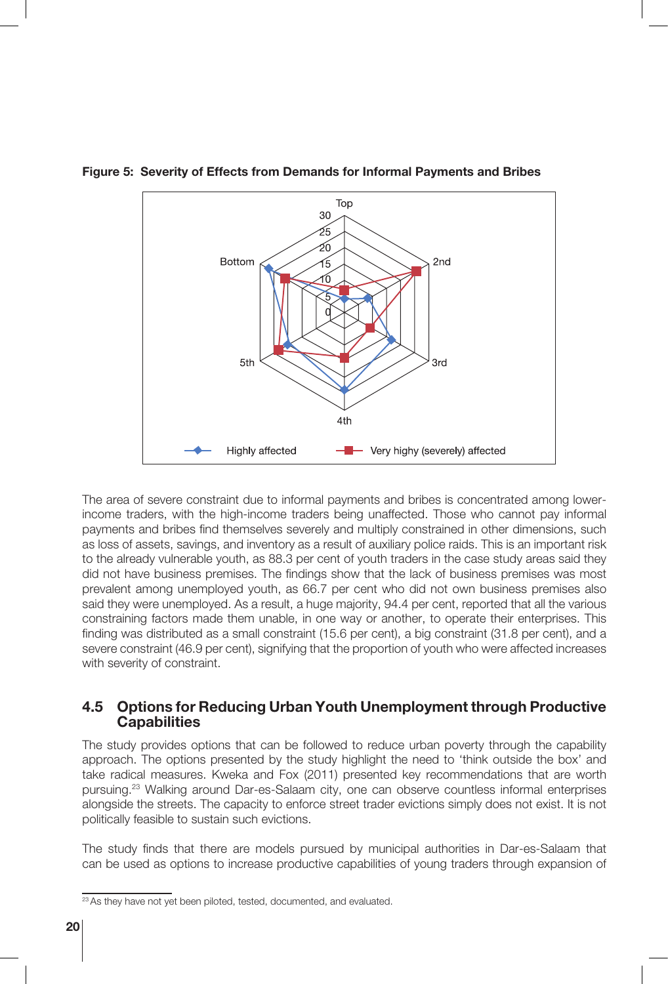

**Figure 5: Severity of Effects from Demands for Informal Payments and Bribes**

The area of severe constraint due to informal payments and bribes is concentrated among lowerincome traders, with the high-income traders being unaffected. Those who cannot pay informal payments and bribes find themselves severely and multiply constrained in other dimensions, such as loss of assets, savings, and inventory as a result of auxiliary police raids. This is an important risk to the already vulnerable youth, as 88.3 per cent of youth traders in the case study areas said they did not have business premises. The findings show that the lack of business premises was most prevalent among unemployed youth, as 66.7 per cent who did not own business premises also said they were unemployed. As a result, a huge majority, 94.4 per cent, reported that all the various constraining factors made them unable, in one way or another, to operate their enterprises. This finding was distributed as a small constraint (15.6 per cent), a big constraint (31.8 per cent), and a severe constraint (46.9 per cent), signifying that the proportion of youth who were affected increases with severity of constraint.

#### **4.5 Options for Reducing Urban Youth Unemployment through Productive Capabilities**

The study provides options that can be followed to reduce urban poverty through the capability approach. The options presented by the study highlight the need to 'think outside the box' and take radical measures. Kweka and Fox (2011) presented key recommendations that are worth pursuing.<sup>23</sup> Walking around Dar-es-Salaam city, one can observe countless informal enterprises alongside the streets. The capacity to enforce street trader evictions simply does not exist. It is not politically feasible to sustain such evictions.

The study finds that there are models pursued by municipal authorities in Dar-es-Salaam that can be used as options to increase productive capabilities of young traders through expansion of

<sup>&</sup>lt;sup>23</sup> As they have not yet been piloted, tested, documented, and evaluated.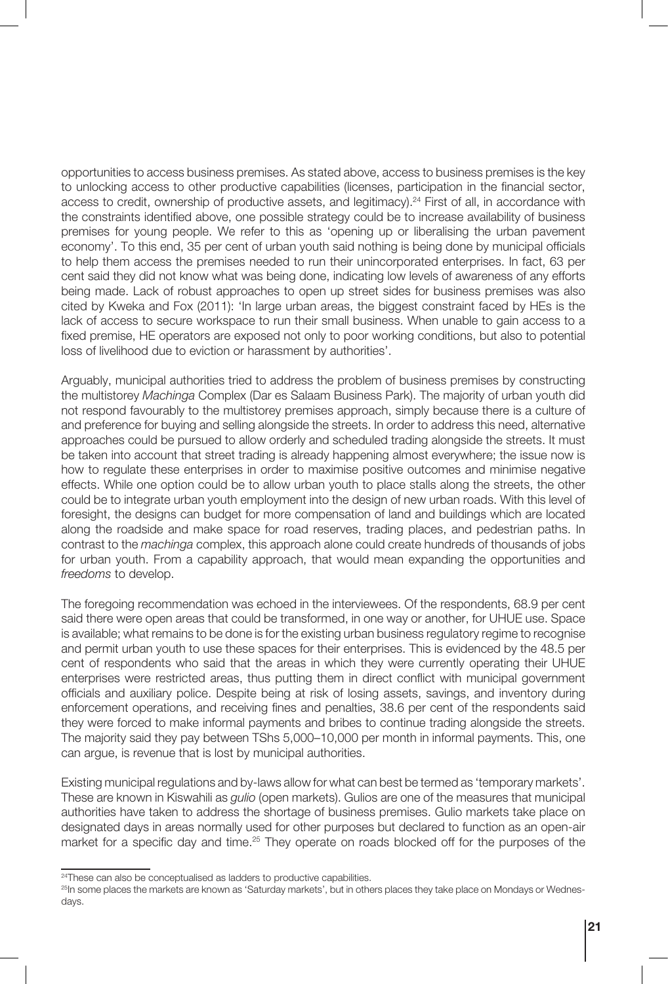opportunities to access business premises. As stated above, access to business premises is the key to unlocking access to other productive capabilities (licenses, participation in the financial sector, access to credit, ownership of productive assets, and legitimacy).<sup>24</sup> First of all, in accordance with the constraints identified above, one possible strategy could be to increase availability of business premises for young people. We refer to this as 'opening up or liberalising the urban pavement economy'. To this end, 35 per cent of urban youth said nothing is being done by municipal officials to help them access the premises needed to run their unincorporated enterprises. In fact, 63 per cent said they did not know what was being done, indicating low levels of awareness of any efforts being made. Lack of robust approaches to open up street sides for business premises was also cited by Kweka and Fox (2011): 'In large urban areas, the biggest constraint faced by HEs is the lack of access to secure workspace to run their small business. When unable to gain access to a fixed premise, HE operators are exposed not only to poor working conditions, but also to potential loss of livelihood due to eviction or harassment by authorities'.

Arguably, municipal authorities tried to address the problem of business premises by constructing the multistorey *Machinga* Complex (Dar es Salaam Business Park). The majority of urban youth did not respond favourably to the multistorey premises approach, simply because there is a culture of and preference for buying and selling alongside the streets. In order to address this need, alternative approaches could be pursued to allow orderly and scheduled trading alongside the streets. It must be taken into account that street trading is already happening almost everywhere; the issue now is how to regulate these enterprises in order to maximise positive outcomes and minimise negative effects. While one option could be to allow urban youth to place stalls along the streets, the other could be to integrate urban youth employment into the design of new urban roads. With this level of foresight, the designs can budget for more compensation of land and buildings which are located along the roadside and make space for road reserves, trading places, and pedestrian paths. In contrast to the *machinga* complex, this approach alone could create hundreds of thousands of jobs for urban youth. From a capability approach, that would mean expanding the opportunities and *freedoms* to develop.

The foregoing recommendation was echoed in the interviewees. Of the respondents, 68.9 per cent said there were open areas that could be transformed, in one way or another, for UHUE use. Space is available; what remains to be done is for the existing urban business regulatory regime to recognise and permit urban youth to use these spaces for their enterprises. This is evidenced by the 48.5 per cent of respondents who said that the areas in which they were currently operating their UHUE enterprises were restricted areas, thus putting them in direct conflict with municipal government officials and auxiliary police. Despite being at risk of losing assets, savings, and inventory during enforcement operations, and receiving fines and penalties, 38.6 per cent of the respondents said they were forced to make informal payments and bribes to continue trading alongside the streets. The majority said they pay between TShs 5,000–10,000 per month in informal payments. This, one can argue, is revenue that is lost by municipal authorities.

Existing municipal regulations and by-laws allow for what can best be termed as 'temporary markets'. These are known in Kiswahili as *gulio* (open markets). Gulios are one of the measures that municipal authorities have taken to address the shortage of business premises. Gulio markets take place on designated days in areas normally used for other purposes but declared to function as an open-air market for a specific day and time.<sup>25</sup> They operate on roads blocked off for the purposes of the

<sup>&</sup>lt;sup>24</sup>These can also be conceptualised as ladders to productive capabilities.

<sup>&</sup>lt;sup>25</sup>In some places the markets are known as 'Saturday markets', but in others places they take place on Mondays or Wednesdays.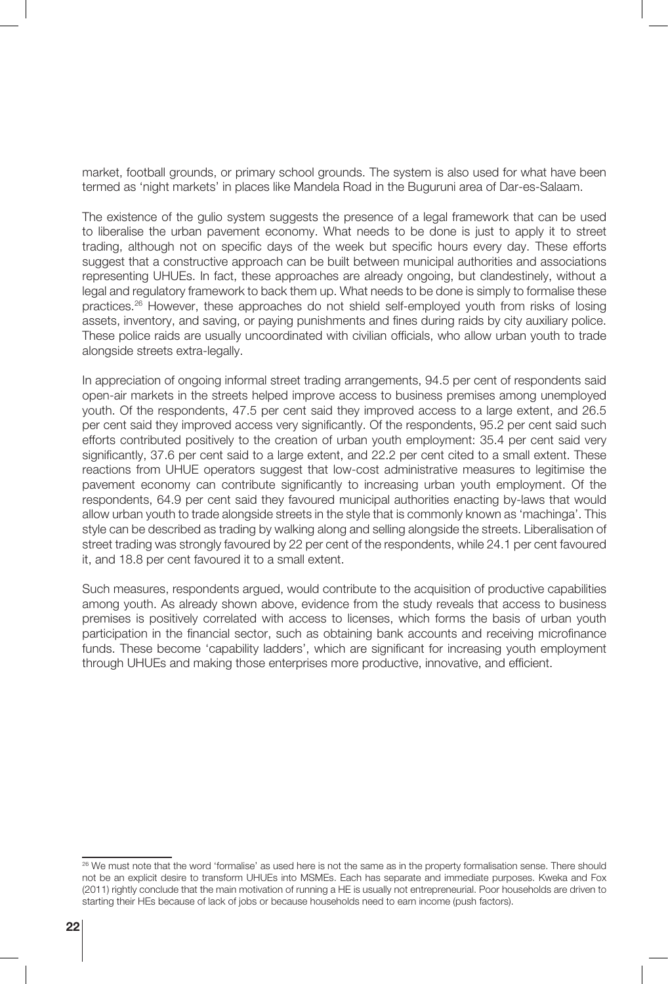market, football grounds, or primary school grounds. The system is also used for what have been termed as 'night markets' in places like Mandela Road in the Buguruni area of Dar-es-Salaam.

The existence of the gulio system suggests the presence of a legal framework that can be used to liberalise the urban pavement economy. What needs to be done is just to apply it to street trading, although not on specific days of the week but specific hours every day. These efforts suggest that a constructive approach can be built between municipal authorities and associations representing UHUEs. In fact, these approaches are already ongoing, but clandestinely, without a legal and regulatory framework to back them up. What needs to be done is simply to formalise these practices.<sup>26</sup> However, these approaches do not shield self-employed youth from risks of losing assets, inventory, and saving, or paying punishments and fines during raids by city auxiliary police. These police raids are usually uncoordinated with civilian officials, who allow urban youth to trade alongside streets extra-legally.

In appreciation of ongoing informal street trading arrangements, 94.5 per cent of respondents said open-air markets in the streets helped improve access to business premises among unemployed youth. Of the respondents, 47.5 per cent said they improved access to a large extent, and 26.5 per cent said they improved access very significantly. Of the respondents, 95.2 per cent said such efforts contributed positively to the creation of urban youth employment: 35.4 per cent said very significantly, 37.6 per cent said to a large extent, and 22.2 per cent cited to a small extent. These reactions from UHUE operators suggest that low-cost administrative measures to legitimise the pavement economy can contribute significantly to increasing urban youth employment. Of the respondents, 64.9 per cent said they favoured municipal authorities enacting by-laws that would allow urban youth to trade alongside streets in the style that is commonly known as 'machinga'. This style can be described as trading by walking along and selling alongside the streets. Liberalisation of street trading was strongly favoured by 22 per cent of the respondents, while 24.1 per cent favoured it, and 18.8 per cent favoured it to a small extent.

Such measures, respondents argued, would contribute to the acquisition of productive capabilities among youth. As already shown above, evidence from the study reveals that access to business premises is positively correlated with access to licenses, which forms the basis of urban youth participation in the financial sector, such as obtaining bank accounts and receiving microfinance funds. These become 'capability ladders', which are significant for increasing youth employment through UHUEs and making those enterprises more productive, innovative, and efficient.

<sup>&</sup>lt;sup>26</sup> We must note that the word 'formalise' as used here is not the same as in the property formalisation sense. There should not be an explicit desire to transform UHUEs into MSMEs. Each has separate and immediate purposes. Kweka and Fox (2011) rightly conclude that the main motivation of running a HE is usually not entrepreneurial. Poor households are driven to starting their HEs because of lack of jobs or because households need to earn income (push factors).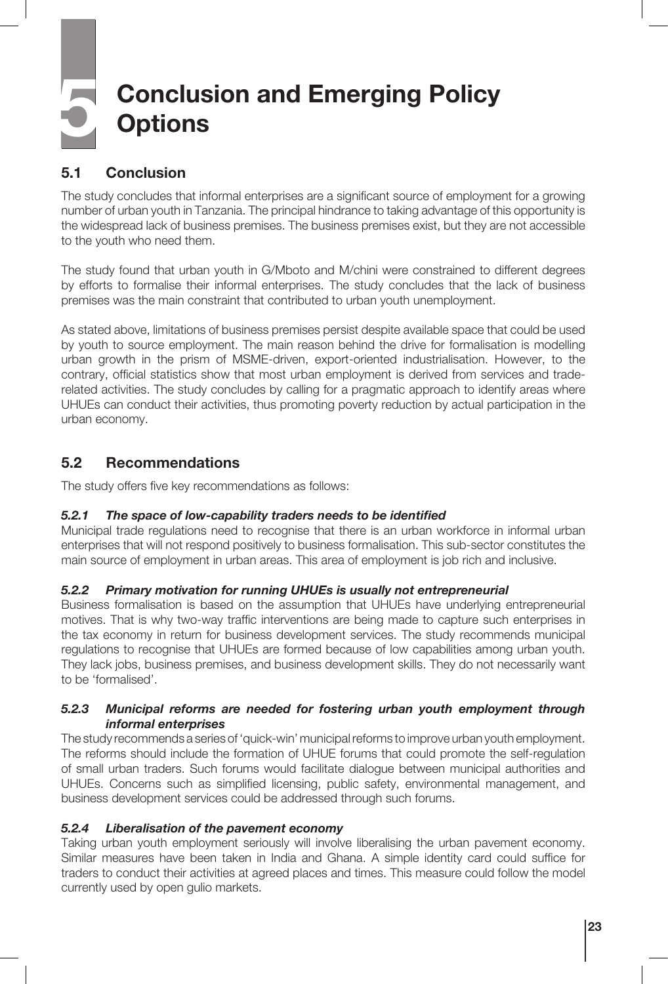# **5 Conclusion and Emerging Policy Options**

#### **5.1 Conclusion**

The study concludes that informal enterprises are a significant source of employment for a growing number of urban youth in Tanzania. The principal hindrance to taking advantage of this opportunity is the widespread lack of business premises. The business premises exist, but they are not accessible to the youth who need them.

The study found that urban youth in G/Mboto and M/chini were constrained to different degrees by efforts to formalise their informal enterprises. The study concludes that the lack of business premises was the main constraint that contributed to urban youth unemployment.

As stated above, limitations of business premises persist despite available space that could be used by youth to source employment. The main reason behind the drive for formalisation is modelling urban growth in the prism of MSME-driven, export-oriented industrialisation. However, to the contrary, official statistics show that most urban employment is derived from services and traderelated activities. The study concludes by calling for a pragmatic approach to identify areas where UHUEs can conduct their activities, thus promoting poverty reduction by actual participation in the urban economy.

#### **5.2 Recommendations**

The study offers five key recommendations as follows:

#### *5.2.1 The space of low-capability traders needs to be identified*

Municipal trade regulations need to recognise that there is an urban workforce in informal urban enterprises that will not respond positively to business formalisation. This sub-sector constitutes the main source of employment in urban areas. This area of employment is job rich and inclusive.

#### *5.2.2 Primary motivation for running UHUEs is usually not entrepreneurial*

Business formalisation is based on the assumption that UHUEs have underlying entrepreneurial motives. That is why two-way traffic interventions are being made to capture such enterprises in the tax economy in return for business development services. The study recommends municipal regulations to recognise that UHUEs are formed because of low capabilities among urban youth. They lack jobs, business premises, and business development skills. They do not necessarily want to be 'formalised'.

#### *5.2.3 Municipal reforms are needed for fostering urban youth employment through informal enterprises*

The study recommends a series of 'quick-win' municipal reforms to improve urban youth employment. The reforms should include the formation of UHUE forums that could promote the self-regulation of small urban traders. Such forums would facilitate dialogue between municipal authorities and UHUEs. Concerns such as simplified licensing, public safety, environmental management, and business development services could be addressed through such forums.

#### *5.2.4 Liberalisation of the pavement economy*

Taking urban youth employment seriously will involve liberalising the urban pavement economy. Similar measures have been taken in India and Ghana. A simple identity card could suffice for traders to conduct their activities at agreed places and times. This measure could follow the model currently used by open gulio markets.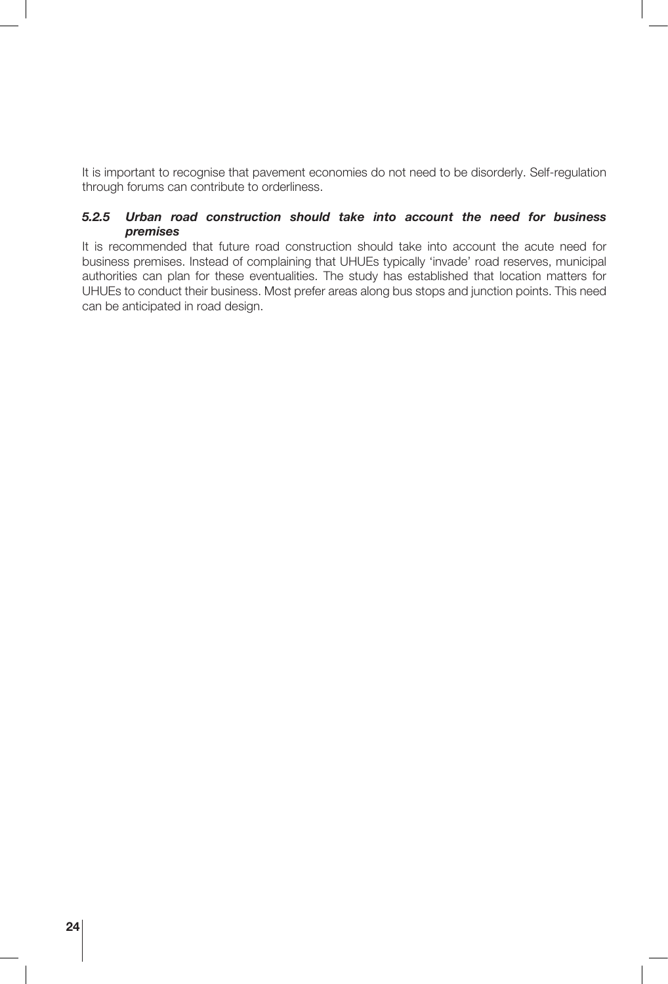It is important to recognise that pavement economies do not need to be disorderly. Self-regulation through forums can contribute to orderliness.

#### *5.2.5 Urban road construction should take into account the need for business premises*

It is recommended that future road construction should take into account the acute need for business premises. Instead of complaining that UHUEs typically 'invade' road reserves, municipal authorities can plan for these eventualities. The study has established that location matters for UHUEs to conduct their business. Most prefer areas along bus stops and junction points. This need can be anticipated in road design.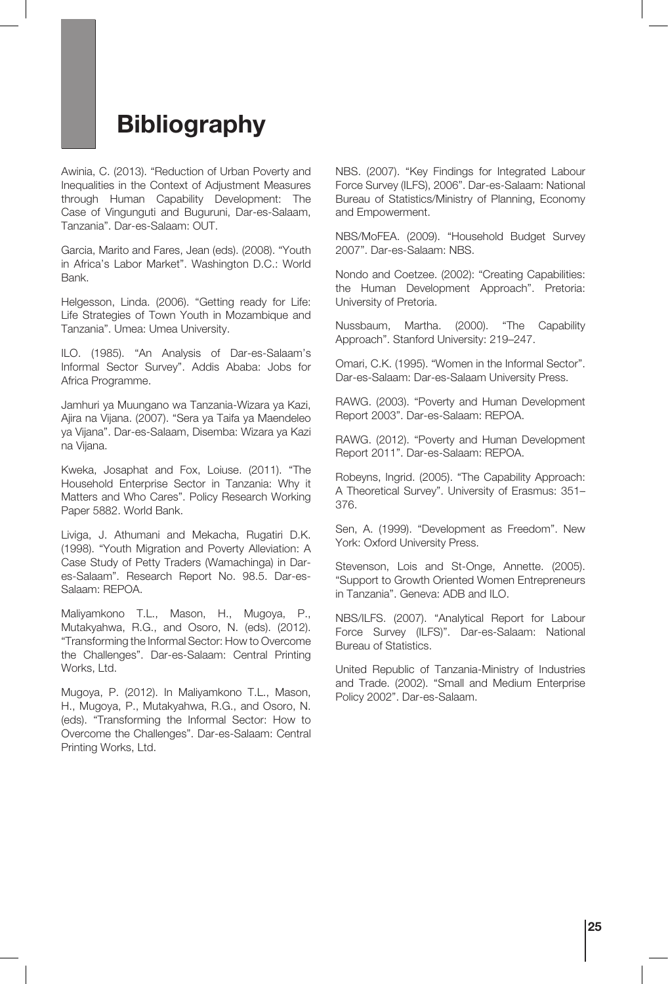### **Bibliography**

Awinia, C. (2013). "Reduction of Urban Poverty and Inequalities in the Context of Adjustment Measures through Human Capability Development: The Case of Vingunguti and Buguruni, Dar-es-Salaam, Tanzania". Dar-es-Salaam: OUT.

Garcia, Marito and Fares, Jean (eds). (2008). "Youth in Africa's Labor Market". Washington D.C.: World Bank.

Helgesson, Linda. (2006). "Getting ready for Life: Life Strategies of Town Youth in Mozambique and Tanzania". Umea: Umea University.

ILO. (1985). "An Analysis of Dar-es-Salaam's Informal Sector Survey". Addis Ababa: Jobs for Africa Programme.

Jamhuri ya Muungano wa Tanzania-Wizara ya Kazi, Ajira na Vijana. (2007). "Sera ya Taifa ya Maendeleo ya Vijana". Dar-es-Salaam, Disemba: Wizara ya Kazi na Vijana.

Kweka, Josaphat and Fox, Loiuse. (2011). "The Household Enterprise Sector in Tanzania: Why it Matters and Who Cares". Policy Research Working Paper 5882. World Bank.

Liviga, J. Athumani and Mekacha, Rugatiri D.K. (1998). "Youth Migration and Poverty Alleviation: A Case Study of Petty Traders (Wamachinga) in Dares-Salaam". Research Report No. 98.5. Dar-es-Salaam: REPOA.

Maliyamkono T.L., Mason, H., Mugoya, P., Mutakyahwa, R.G., and Osoro, N. (eds). (2012). "Transforming the Informal Sector: How to Overcome the Challenges". Dar-es-Salaam: Central Printing Works, Ltd.

Mugoya, P. (2012). In Maliyamkono T.L., Mason, H., Mugoya, P., Mutakyahwa, R.G., and Osoro, N. (eds). "Transforming the Informal Sector: How to Overcome the Challenges". Dar-es-Salaam: Central Printing Works, Ltd.

NBS. (2007). "Key Findings for Integrated Labour Force Survey (ILFS), 2006". Dar-es-Salaam: National Bureau of Statistics/Ministry of Planning, Economy and Empowerment.

NBS/MoFEA. (2009). "Household Budget Survey 2007". Dar-es-Salaam: NBS.

Nondo and Coetzee. (2002): "Creating Capabilities: the Human Development Approach". Pretoria: University of Pretoria.

Nussbaum, Martha. (2000). "The Capability Approach". Stanford University: 219–247.

Omari, C.K. (1995). "Women in the Informal Sector". Dar-es-Salaam: Dar-es-Salaam University Press.

RAWG. (2003). "Poverty and Human Development Report 2003". Dar-es-Salaam: REPOA.

RAWG. (2012). "Poverty and Human Development Report 2011". Dar-es-Salaam: REPOA.

Robeyns, Ingrid. (2005). "The Capability Approach: A Theoretical Survey". University of Erasmus: 351– 376.

Sen, A. (1999). "Development as Freedom". New York: Oxford University Press.

Stevenson, Lois and St-Onge, Annette. (2005). "Support to Growth Oriented Women Entrepreneurs in Tanzania". Geneva: ADB and ILO.

NBS/ILFS. (2007). "Analytical Report for Labour Force Survey (ILFS)". Dar-es-Salaam: National Bureau of Statistics.

United Republic of Tanzania-Ministry of Industries and Trade. (2002). "Small and Medium Enterprise Policy 2002". Dar-es-Salaam.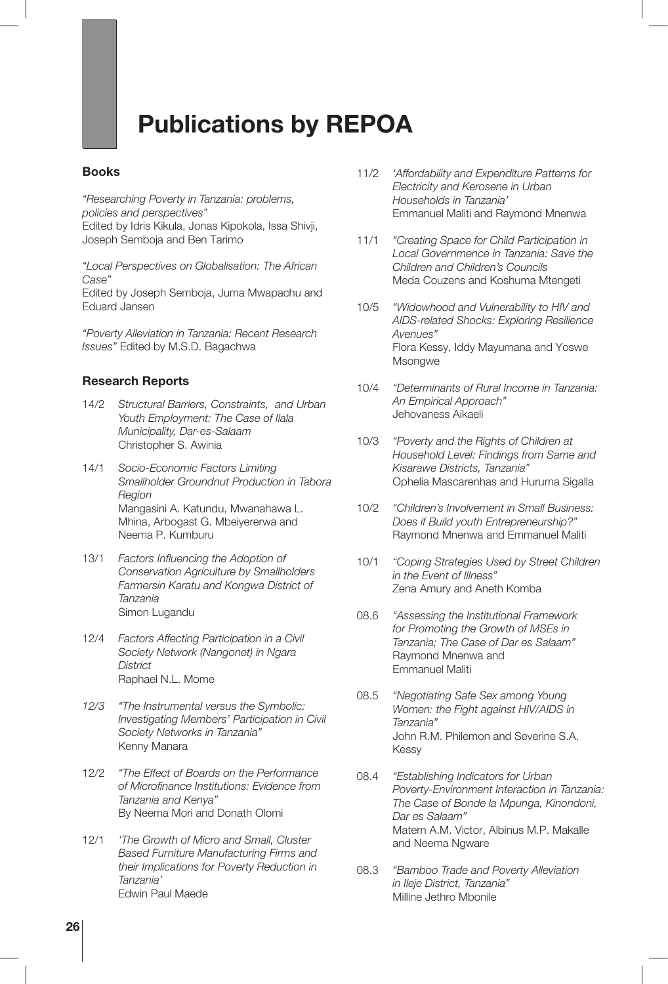# **Publications by REPOA**

#### **Books**

*"Researching Poverty in Tanzania: problems, policies and perspectives"*

Edited by Idris Kikula, Jonas Kipokola, Issa Shivji, Joseph Semboja and Ben Tarimo

*"Local Perspectives on Globalisation: The African Case"*

Edited by Joseph Semboja, Juma Mwapachu and Eduard Jansen

*"Poverty Alleviation in Tanzania: Recent Research Issues"* Edited by M.S.D. Bagachwa

#### **Research Reports**

- 14/2 *Structural Barriers, Constraints, and Urban Youth Employment: The Case of Ilala Municipality, Dar-es-Salaam* Christopher S. Awinia
- 14/1 *Socio-Economic Factors Limiting Smallholder Groundnut Production in Tabora Region* Mangasini A. Katundu, Mwanahawa L. Mhina, Arbogast G. Mbeiyererwa and Neema P. Kumburu
- 13/1 *Factors Influencing the Adoption of Conservation Agriculture by Smallholders Farmersin Karatu and Kongwa District of Tanzania* Simon Lugandu
- 12/4 *Factors Affecting Participation in a Civil Society Network (Nangonet) in Ngara District* Raphael N.L. Mome
- *12/3 "The Instrumental versus the Symbolic: Investigating Members' Participation in Civil Society Networks in Tanzania"* Kenny Manara
- 12/2 *"The Effect of Boards on the Performance of Microfinance Institutions: Evidence from Tanzania and Kenya"* By Neema Mori and Donath Olomi
- 12/1 *'The Growth of Micro and Small, Cluster Based Furniture Manufacturing Firms and their Implications for Poverty Reduction in Tanzania'* Edwin Paul Maede
- 11/2 *'Affordability and Expenditure Patterns for Electricity and Kerosene in Urban Households in Tanzania'* Emmanuel Maliti and Raymond Mnenwa
- 11/1 *"Creating Space for Child Participation in Local Governmence in Tanzania: Save the Children and Children's Councils* Meda Couzens and Koshuma Mtengeti
- 10/5 *"Widowhood and Vulnerability to HIV and AIDS-related Shocks: Exploring Resilience Avenues"* Flora Kessy, Iddy Mayumana and Yoswe **Msongwe**
- 10/4 *"Determinants of Rural Income in Tanzania: An Empirical Approach"* Jehovaness Aikaeli
- 10/3 *"Poverty and the Rights of Children at Household Level: Findings from Same and Kisarawe Districts, Tanzania"* Ophelia Mascarenhas and Huruma Sigalla
- 10/2 *"Children's Involvement in Small Business: Does if Build youth Entrepreneurship?"* Raymond Mnenwa and Emmanuel Maliti
- 10/1 *"Coping Strategies Used by Street Children in the Event of Illness"* Zena Amury and Aneth Komba
- 08.6 *"Assessing the Institutional Framework for Promoting the Growth of MSEs in Tanzania; The Case of Dar es Salaam"* Raymond Mnenwa and Emmanuel Maliti
- 08.5 *"Negotiating Safe Sex among Young Women: the Fight against HIV/AIDS in Tanzania"* John R.M. Philemon and Severine S.A. Kessy
- 08.4 *"Establishing Indicators for Urban Poverty-Environment Interaction in Tanzania: The Case of Bonde la Mpunga, Kinondoni, Dar es Salaam"* Matern A.M. Victor, Albinus M.P. Makalle and Neema Ngware
- 08.3 *"Bamboo Trade and Poverty Alleviation in Ileje District, Tanzania"* Milline Jethro Mbonile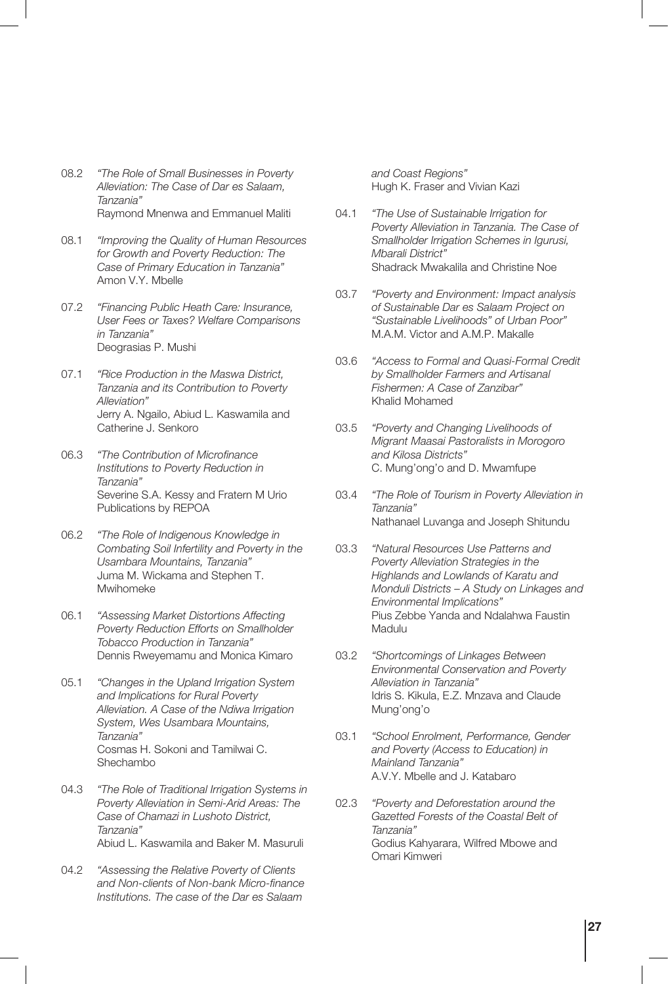- 08.2 *"The Role of Small Businesses in Poverty Alleviation: The Case of Dar es Salaam, Tanzania"* Raymond Mnenwa and Emmanuel Maliti
- 08.1 *"Improving the Quality of Human Resources for Growth and Poverty Reduction: The Case of Primary Education in Tanzania"* Amon V.Y. Mbelle
- 07.2 *"Financing Public Heath Care: Insurance, User Fees or Taxes? Welfare Comparisons in Tanzania"* Deograsias P. Mushi
- 07.1 *"Rice Production in the Maswa District, Tanzania and its Contribution to Poverty Alleviation"* Jerry A. Ngailo, Abiud L. Kaswamila and Catherine J. Senkoro
- 06.3 *"The Contribution of Microfinance Institutions to Poverty Reduction in Tanzania"* Severine S.A. Kessy and Fratern M Urio Publications by REPOA
- 06.2 *"The Role of Indigenous Knowledge in Combating Soil Infertility and Poverty in the Usambara Mountains, Tanzania"* Juma M. Wickama and Stephen T. Mwihomeke
- 06.1 *"Assessing Market Distortions Affecting Poverty Reduction Efforts on Smallholder Tobacco Production in Tanzania"* Dennis Rweyemamu and Monica Kimaro
- 05.1 *"Changes in the Upland Irrigation System and Implications for Rural Poverty Alleviation. A Case of the Ndiwa Irrigation System, Wes Usambara Mountains, Tanzania"* Cosmas H. Sokoni and Tamilwai C. Shechambo
- 04.3 *"The Role of Traditional Irrigation Systems in Poverty Alleviation in Semi-Arid Areas: The Case of Chamazi in Lushoto District, Tanzania"* Abiud L. Kaswamila and Baker M. Masuruli
- 04.2 *"Assessing the Relative Poverty of Clients and Non-clients of Non-bank Micro-finance Institutions. The case of the Dar es Salaam*

*and Coast Regions"* Hugh K. Fraser and Vivian Kazi

- 04.1 *"The Use of Sustainable Irrigation for Poverty Alleviation in Tanzania. The Case of Smallholder Irrigation Schemes in Igurusi, Mbarali District"* Shadrack Mwakalila and Christine Noe
- 03.7 *"Poverty and Environment: Impact analysis of Sustainable Dar es Salaam Project on "Sustainable Livelihoods" of Urban Poor"* M.A.M. Victor and A.M.P. Makalle
- 03.6 *"Access to Formal and Quasi-Formal Credit by Smallholder Farmers and Artisanal Fishermen: A Case of Zanzibar"* Khalid Mohamed
- 03.5 *"Poverty and Changing Livelihoods of Migrant Maasai Pastoralists in Morogoro and Kilosa Districts"* C. Mung'ong'o and D. Mwamfupe
- 03.4 *"The Role of Tourism in Poverty Alleviation in Tanzania"* Nathanael Luvanga and Joseph Shitundu
- 03.3 *"Natural Resources Use Patterns and Poverty Alleviation Strategies in the Highlands and Lowlands of Karatu and Monduli Districts – A Study on Linkages and Environmental Implications"* Pius Zebbe Yanda and Ndalahwa Faustin Madulu
- 03.2 *"Shortcomings of Linkages Between Environmental Conservation and Poverty Alleviation in Tanzania"* Idris S. Kikula, E.Z. Mnzava and Claude Mung'ong'o
- 03.1 *"School Enrolment, Performance, Gender and Poverty (Access to Education) in Mainland Tanzania"* A.V.Y. Mbelle and J. Katabaro
- 02.3 *"Poverty and Deforestation around the Gazetted Forests of the Coastal Belt of Tanzania"* Godius Kahyarara, Wilfred Mbowe and Omari Kimweri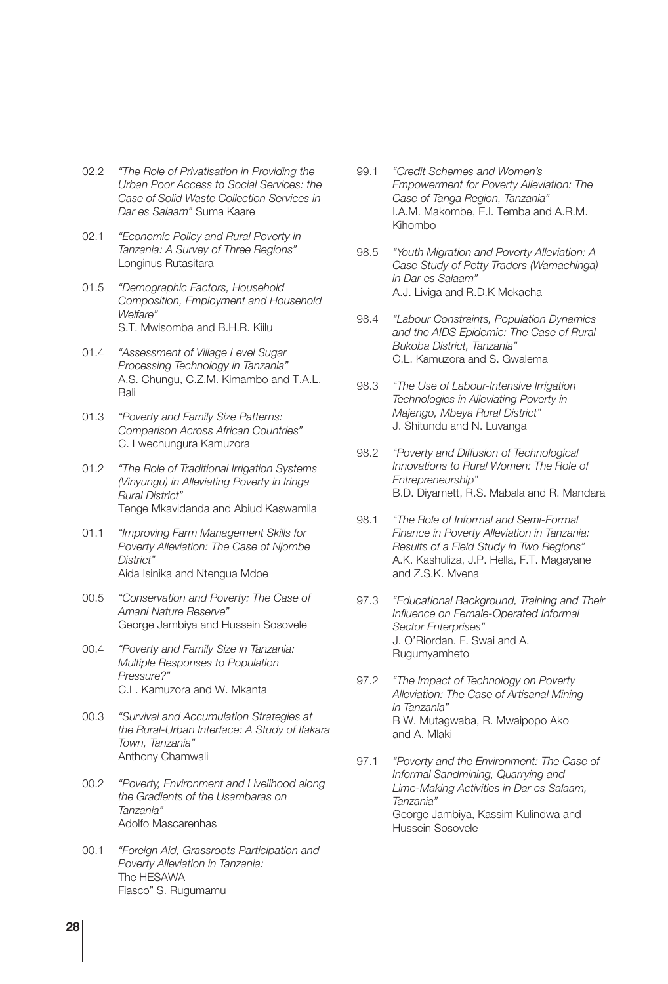- 02.2 *"The Role of Privatisation in Providing the Urban Poor Access to Social Services: the Case of Solid Waste Collection Services in Dar es Salaam"* Suma Kaare
- 02.1 *"Economic Policy and Rural Poverty in Tanzania: A Survey of Three Regions"* Longinus Rutasitara
- 01.5 *"Demographic Factors, Household Composition, Employment and Household Welfare"* S.T. Mwisomba and B.H.R. Kiilu
- 01.4 *"Assessment of Village Level Sugar Processing Technology in Tanzania"* A.S. Chungu, C.Z.M. Kimambo and T.A.L. Bali
- 01.3 *"Poverty and Family Size Patterns: Comparison Across African Countries"* C. Lwechungura Kamuzora
- 01.2 *"The Role of Traditional Irrigation Systems (Vinyungu) in Alleviating Poverty in Iringa Rural District"* Tenge Mkavidanda and Abiud Kaswamila
- 01.1 *"Improving Farm Management Skills for Poverty Alleviation: The Case of Njombe District"* Aida Isinika and Ntengua Mdoe
- 00.5 *"Conservation and Poverty: The Case of Amani Nature Reserve"* George Jambiya and Hussein Sosovele
- 00.4 *"Poverty and Family Size in Tanzania: Multiple Responses to Population Pressure?"* C.L. Kamuzora and W. Mkanta
- 00.3 *"Survival and Accumulation Strategies at the Rural-Urban Interface: A Study of Ifakara Town, Tanzania"* Anthony Chamwali
- 00.2 *"Poverty, Environment and Livelihood along the Gradients of the Usambaras on Tanzania"* Adolfo Mascarenhas
- 00.1 *"Foreign Aid, Grassroots Participation and Poverty Alleviation in Tanzania:* The HESAWA Fiasco" S. Rugumamu
- 99.1 *"Credit Schemes and Women's Empowerment for Poverty Alleviation: The Case of Tanga Region, Tanzania"* I.A.M. Makombe, E.I. Temba and A.R.M. Kihombo
- 98.5 *"Youth Migration and Poverty Alleviation: A Case Study of Petty Traders (Wamachinga) in Dar es Salaam"* A.J. Liviga and R.D.K Mekacha
- 98.4 *"Labour Constraints, Population Dynamics and the AIDS Epidemic: The Case of Rural Bukoba District, Tanzania"* C.L. Kamuzora and S. Gwalema
- 98.3 *"The Use of Labour-Intensive Irrigation Technologies in Alleviating Poverty in Majengo, Mbeya Rural District"* J. Shitundu and N. Luvanga
- 98.2 *"Poverty and Diffusion of Technological Innovations to Rural Women: The Role of Entrepreneurship"* B.D. Diyamett, R.S. Mabala and R. Mandara
- 98.1 *"The Role of Informal and Semi-Formal Finance in Poverty Alleviation in Tanzania: Results of a Field Study in Two Regions"* A.K. Kashuliza, J.P. Hella, F.T. Magayane and Z.S.K. Mvena
- 97.3 *"Educational Background, Training and Their Influence on Female-Operated Informal Sector Enterprises"* J. O'Riordan. F. Swai and A. Rugumyamheto
- 97.2 *"The Impact of Technology on Poverty Alleviation: The Case of Artisanal Mining in Tanzania"* B W. Mutagwaba, R. Mwaipopo Ako and A. Mlaki
- 97.1 *"Poverty and the Environment: The Case of Informal Sandmining, Quarrying and Lime-Making Activities in Dar es Salaam, Tanzania"* George Jambiya, Kassim Kulindwa and Hussein Sosovele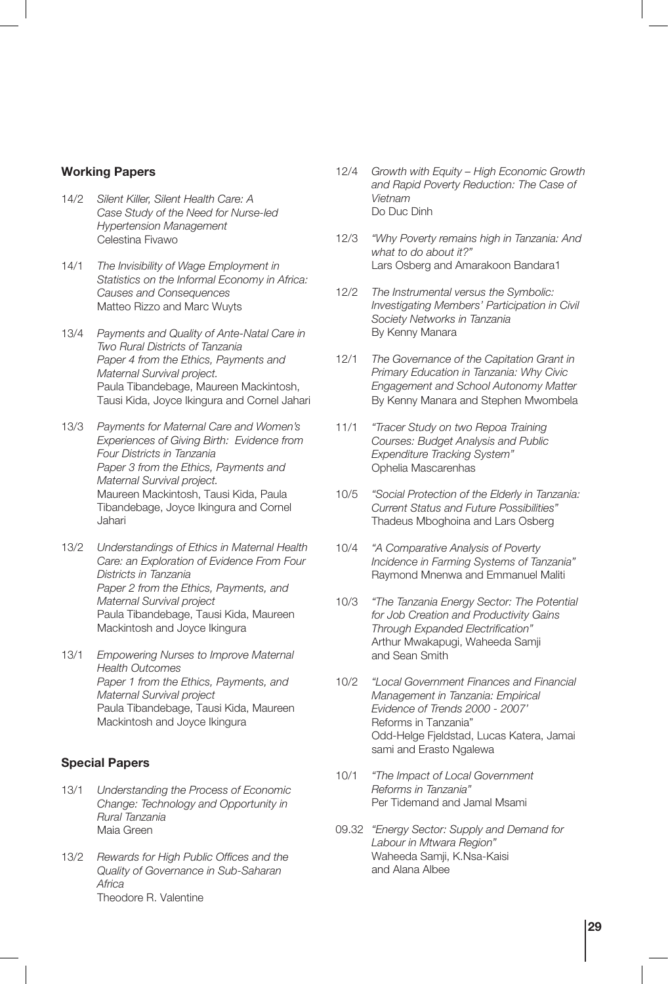#### **Working Papers**

- 14/2 *Silent Killer, Silent Health Care: A Case Study of the Need for Nurse-led Hypertension Management* Celestina Fivawo
- 14/1 *The Invisibility of Wage Employment in Statistics on the Informal Economy in Africa: Causes and Consequences* Matteo Rizzo and Marc Wuyts
- 13/4 *Payments and Quality of Ante-Natal Care in Two Rural Districts of Tanzania Paper 4 from the Ethics, Payments and Maternal Survival project.* Paula Tibandebage, Maureen Mackintosh, Tausi Kida, Joyce Ikingura and Cornel Jahari
- 13/3 *Payments for Maternal Care and Women's Experiences of Giving Birth: Evidence from Four Districts in Tanzania Paper 3 from the Ethics, Payments and Maternal Survival project.* Maureen Mackintosh, Tausi Kida, Paula Tibandebage, Joyce Ikingura and Cornel Jahari
- 13/2 *Understandings of Ethics in Maternal Health Care: an Exploration of Evidence From Four Districts in Tanzania Paper 2 from the Ethics, Payments, and Maternal Survival project* Paula Tibandebage, Tausi Kida, Maureen Mackintosh and Joyce Ikingura
- 13/1 *Empowering Nurses to Improve Maternal Health Outcomes Paper 1 from the Ethics, Payments, and Maternal Survival project* Paula Tibandebage, Tausi Kida, Maureen Mackintosh and Joyce Ikingura

#### **Special Papers**

- 13/1 *Understanding the Process of Economic Change: Technology and Opportunity in Rural Tanzania* Maia Green
- 13/2 *Rewards for High Public Offices and the Quality of Governance in Sub-Saharan Africa* Theodore R. Valentine
- 12/4 *Growth with Equity High Economic Growth and Rapid Poverty Reduction: The Case of Vietnam* Do Duc Dinh
- 12/3 *"Why Poverty remains high in Tanzania: And what to do about it?"* Lars Osberg and Amarakoon Bandara1
- 12/2 *The Instrumental versus the Symbolic: Investigating Members' Participation in Civil Society Networks in Tanzania* By Kenny Manara
- 12/1 *The Governance of the Capitation Grant in Primary Education in Tanzania: Why Civic Engagement and School Autonomy Matter* By Kenny Manara and Stephen Mwombela
- 11/1 *"Tracer Study on two Repoa Training Courses: Budget Analysis and Public Expenditure Tracking System"* Ophelia Mascarenhas
- 10/5 *"Social Protection of the Elderly in Tanzania: Current Status and Future Possibilities"* Thadeus Mboghoina and Lars Osberg
- 10/4 *"A Comparative Analysis of Poverty Incidence in Farming Systems of Tanzania"* Raymond Mnenwa and Emmanuel Maliti
- 10/3 *"The Tanzania Energy Sector: The Potential for Job Creation and Productivity Gains Through Expanded Electrification"* Arthur Mwakapugi, Waheeda Samji and Sean Smith
- 10/2 *"Local Government Finances and Financial Management in Tanzania: Empirical Evidence of Trends 2000 - 2007'* Reforms in Tanzania" Odd-Helge Fjeldstad, Lucas Katera, Jamai sami and Erasto Ngalewa
- 10/1 *"The Impact of Local Government Reforms in Tanzania"* Per Tidemand and Jamal Msami
- 09.32 *"Energy Sector: Supply and Demand for Labour in Mtwara Region"* Waheeda Samji, K.Nsa-Kaisi and Alana Albee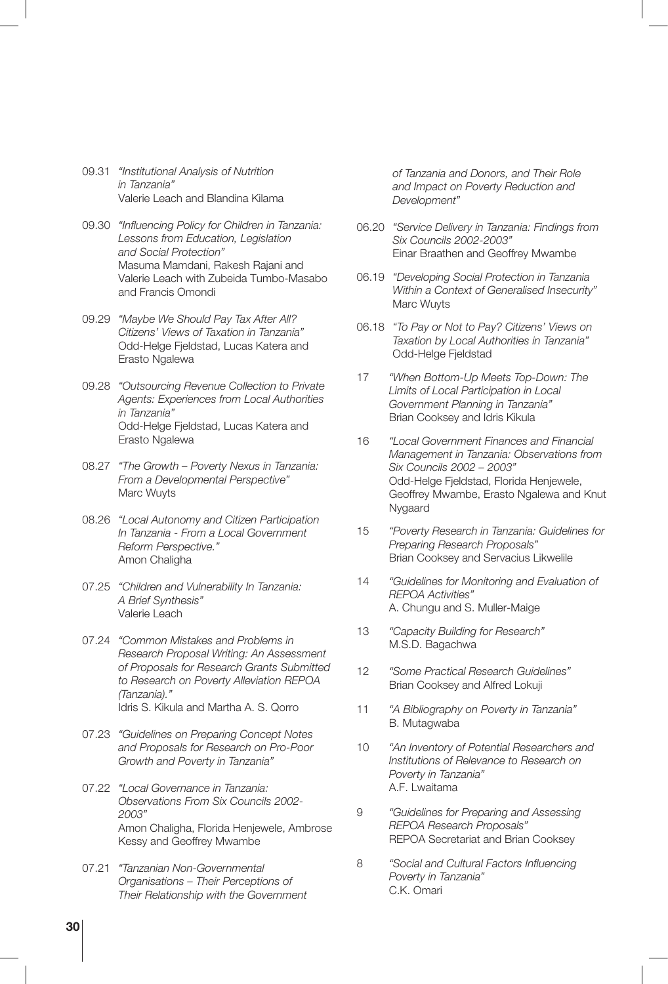- 09.31 *"Institutional Analysis of Nutrition in Tanzania"* Valerie Leach and Blandina Kilama
- 09.30 *"Influencing Policy for Children in Tanzania: Lessons from Education, Legislation and Social Protection"* Masuma Mamdani, Rakesh Rajani and Valerie Leach with Zubeida Tumbo-Masabo and Francis Omondi
- 09.29 *"Maybe We Should Pay Tax After All? Citizens' Views of Taxation in Tanzania"* Odd-Helge Fjeldstad, Lucas Katera and Erasto Ngalewa
- 09.28 *"Outsourcing Revenue Collection to Private Agents: Experiences from Local Authorities in Tanzania"* Odd-Helge Fjeldstad, Lucas Katera and Erasto Ngalewa
- 08.27 *"The Growth Poverty Nexus in Tanzania: From a Developmental Perspective"* Marc Wuyts
- 08.26 *"Local Autonomy and Citizen Participation In Tanzania - From a Local Government Reform Perspective."* Amon Chaligha
- 07.25 *"Children and Vulnerability In Tanzania: A Brief Synthesis"* Valerie Leach
- 07.24 *"Common Mistakes and Problems in Research Proposal Writing: An Assessment of Proposals for Research Grants Submitted to Research on Poverty Alleviation REPOA (Tanzania)."* Idris S. Kikula and Martha A. S. Qorro
- 07.23 *"Guidelines on Preparing Concept Notes and Proposals for Research on Pro-Poor Growth and Poverty in Tanzania"*
- 07.22 *"Local Governance in Tanzania: Observations From Six Councils 2002- 2003"* Amon Chaligha, Florida Henjewele, Ambrose Kessy and Geoffrey Mwambe
- 07.21 *"Tanzanian Non-Governmental Organisations – Their Perceptions of Their Relationship with the Government*

*of Tanzania and Donors, and Their Role and Impact on Poverty Reduction and Development"*

- 06.20 *"Service Delivery in Tanzania: Findings from Six Councils 2002-2003"* Einar Braathen and Geoffrey Mwambe
- 06.19 *"Developing Social Protection in Tanzania Within a Context of Generalised Insecurity"* Marc Wuyts
- 06.18 *"To Pay or Not to Pay? Citizens' Views on Taxation by Local Authorities in Tanzania"* Odd-Helge Fjeldstad
- 17 *"When Bottom-Up Meets Top-Down: The Limits of Local Participation in Local Government Planning in Tanzania"* Brian Cooksey and Idris Kikula
- 16 *"Local Government Finances and Financial Management in Tanzania: Observations from Six Councils 2002 – 2003"* Odd-Helge Fjeldstad, Florida Henjewele, Geoffrey Mwambe, Erasto Ngalewa and Knut Nygaard
- 15 *"Poverty Research in Tanzania: Guidelines for Preparing Research Proposals"* Brian Cooksey and Servacius Likwelile
- 14 *"Guidelines for Monitoring and Evaluation of REPOA Activities"* A. Chungu and S. Muller-Maige
- 13 *"Capacity Building for Research"* M.S.D. Bagachwa
- 12 *"Some Practical Research Guidelines"* Brian Cooksey and Alfred Lokuji
- 11 *"A Bibliography on Poverty in Tanzania"* B. Mutagwaba
- 10 *"An Inventory of Potential Researchers and Institutions of Relevance to Research on Poverty in Tanzania"* A.F. Lwaitama
- 9 *"Guidelines for Preparing and Assessing REPOA Research Proposals"* REPOA Secretariat and Brian Cooksey
- 8 *"Social and Cultural Factors Influencing Poverty in Tanzania"* C.K. Omari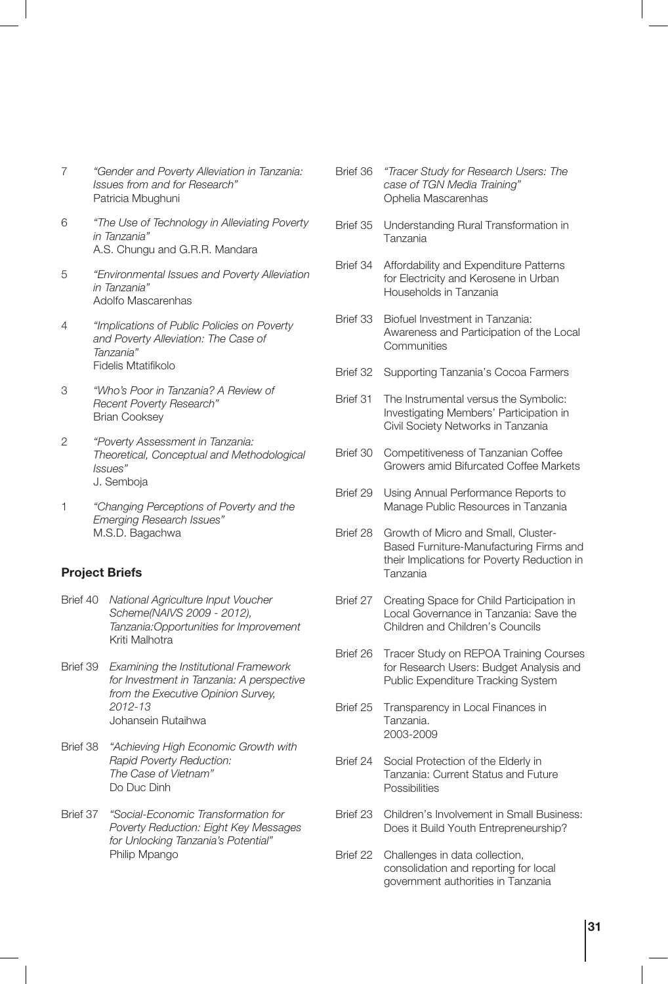- 7 *"Gender and Poverty Alleviation in Tanzania: Issues from and for Research"* Patricia Mbughuni
- 6 *"The Use of Technology in Alleviating Poverty in Tanzania"* A.S. Chungu and G.R.R. Mandara
- 5 *"Environmental Issues and Poverty Alleviation in Tanzania"* Adolfo Mascarenhas
- 4 *"Implications of Public Policies on Poverty and Poverty Alleviation: The Case of Tanzania"* Fidelis Mtatifikolo
- 3 *"Who's Poor in Tanzania? A Review of Recent Poverty Research"* Brian Cooksey
- 2 *"Poverty Assessment in Tanzania: Theoretical, Conceptual and Methodological Issues"* J. Semboja
- 1 *"Changing Perceptions of Poverty and the Emerging Research Issues"* M.S.D. Bagachwa

#### **Project Briefs**

- Brief 40 *National Agriculture Input Voucher Scheme(NAIVS 2009 - 2012), Tanzania:Opportunities for Improvement* Kriti Malhotra
- Brief 39 *Examining the Institutional Framework for Investment in Tanzania: A perspective from the Executive Opinion Survey, 2012-13* Johansein Rutaihwa
- Brief 38 *"Achieving High Economic Growth with Rapid Poverty Reduction: The Case of Vietnam"* Do Duc Dinh
- Brief 37 *"Social-Economic Transformation for Poverty Reduction: Eight Key Messages for Unlocking Tanzania's Potential"* Philip Mpango
- Brief 36 *"Tracer Study for Research Users: The case of TGN Media Training"* Ophelia Mascarenhas
- Brief 35 Understanding Rural Transformation in Tanzania
- Brief 34 Affordability and Expenditure Patterns for Electricity and Kerosene in Urban Households in Tanzania
- Brief 33 Biofuel Investment in Tanzania: Awareness and Participation of the Local Communities
- Brief 32 Supporting Tanzania's Cocoa Farmers
- Brief 31 The Instrumental versus the Symbolic: Investigating Members' Participation in Civil Society Networks in Tanzania
- Brief 30 Competitiveness of Tanzanian Coffee Growers amid Bifurcated Coffee Markets
- Brief 29 Using Annual Performance Reports to Manage Public Resources in Tanzania
- Brief 28 Growth of Micro and Small, Cluster-Based Furniture-Manufacturing Firms and their Implications for Poverty Reduction in Tanzania
- Brief 27 Creating Space for Child Participation in Local Governance in Tanzania: Save the Children and Children's Councils
- Brief 26 Tracer Study on REPOA Training Courses for Research Users: Budget Analysis and Public Expenditure Tracking System
- Brief 25 Transparency in Local Finances in Tanzania. 2003-2009
- Brief 24 Social Protection of the Elderly in Tanzania: Current Status and Future Possibilities
- Brief 23 Children's Involvement in Small Business: Does it Build Youth Entrepreneurship?
- Brief 22 Challenges in data collection, consolidation and reporting for local government authorities in Tanzania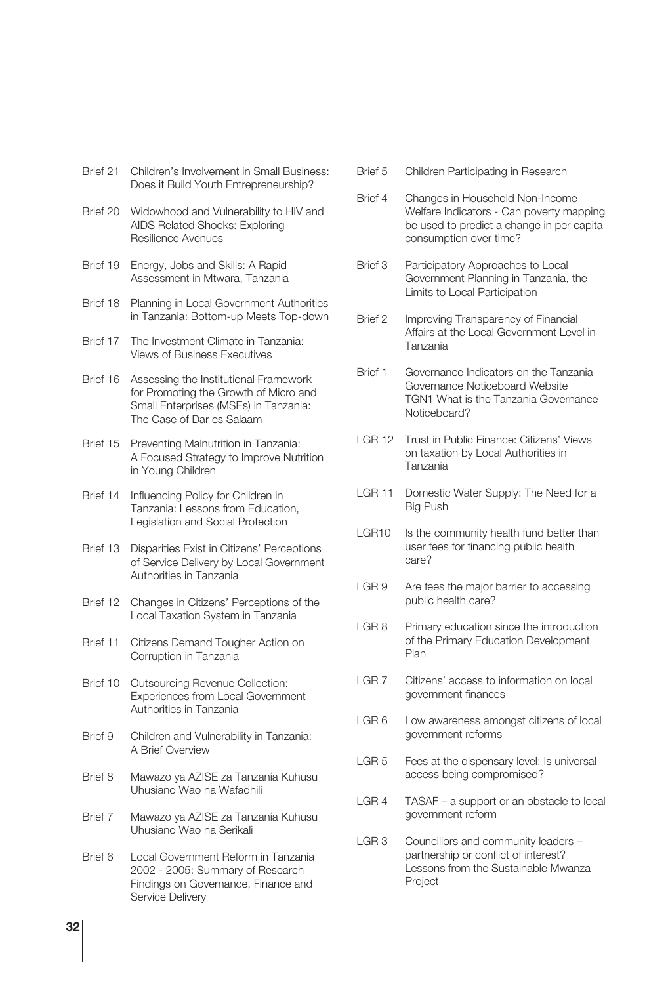- Brief 21 Children's Involvement in Small Business: Does it Build Youth Entrepreneurship?
- Brief 20 Widowhood and Vulnerability to HIV and AIDS Related Shocks: Exploring Resilience Avenues
- Brief 19 Energy, Jobs and Skills: A Rapid Assessment in Mtwara, Tanzania
- Brief 18 Planning in Local Government Authorities in Tanzania: Bottom-up Meets Top-down
- Brief 17 The Investment Climate in Tanzania: Views of Business Executives
- Brief 16 Assessing the Institutional Framework for Promoting the Growth of Micro and Small Enterprises (MSEs) in Tanzania: The Case of Dar es Salaam
- Brief 15 Preventing Malnutrition in Tanzania: A Focused Strategy to Improve Nutrition in Young Children
- Brief 14 Influencing Policy for Children in Tanzania: Lessons from Education, Legislation and Social Protection
- Brief 13 Disparities Exist in Citizens' Perceptions of Service Delivery by Local Government Authorities in Tanzania
- Brief 12 Changes in Citizens' Perceptions of the Local Taxation System in Tanzania
- Brief 11 Citizens Demand Tougher Action on Corruption in Tanzania
- Brief 10 Outsourcing Revenue Collection: Experiences from Local Government Authorities in Tanzania
- Brief 9 Children and Vulnerability in Tanzania: A Brief Overview
- Brief 8 Mawazo ya AZISE za Tanzania Kuhusu Uhusiano Wao na Wafadhili
- Brief 7 Mawazo ya AZISE za Tanzania Kuhusu Uhusiano Wao na Serikali
- Brief 6 Local Government Reform in Tanzania 2002 - 2005: Summary of Research Findings on Governance, Finance and Service Delivery
- Brief 5 Children Participating in Research
- Brief 4 Changes in Household Non-Income Welfare Indicators - Can poverty mapping be used to predict a change in per capita consumption over time?
- Brief 3 Participatory Approaches to Local Government Planning in Tanzania, the Limits to Local Participation
- Brief 2 Improving Transparency of Financial Affairs at the Local Government Level in Tanzania
- Brief 1 Governance Indicators on the Tanzania Governance Noticeboard Website TGN1 What is the Tanzania Governance Noticeboard?
- LGR 12 Trust in Public Finance: Citizens' Views on taxation by Local Authorities in Tanzania
- LGR 11 Domestic Water Supply: The Need for a Big Push
- LGR10 Is the community health fund better than user fees for financing public health care?
- LGR 9 Are fees the major barrier to accessing public health care?
- LGR 8 Primary education since the introduction of the Primary Education Development Plan
- LGR 7 Citizens' access to information on local government finances
- LGR 6 Low awareness amongst citizens of local government reforms
- LGR 5 Fees at the dispensary level: Is universal access being compromised?
- LGR 4 TASAF a support or an obstacle to local government reform
- LGR 3 Councillors and community leaders partnership or conflict of interest? Lessons from the Sustainable Mwanza Project